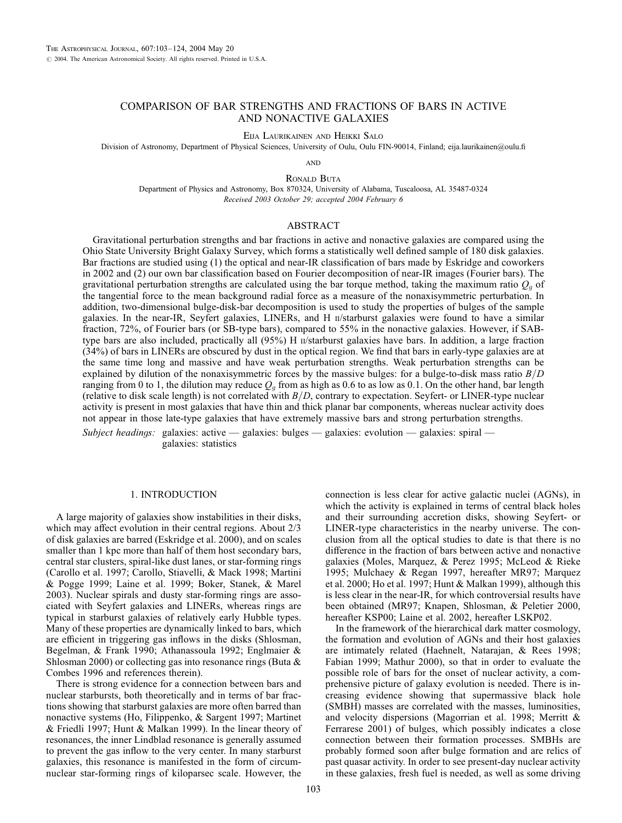# COMPARISON OF BAR STRENGTHS AND FRACTIONS OF BARS IN ACTIVE AND NONACTIVE GALAXIES

Eija Laurikainen and Heikki Salo

Division of Astronomy, Department of Physical Sciences, University of Oulu, Oulu FIN-90014, Finland; eija.laurikainen@oulu.fi

**AND** 

Ronald Buta

Department of Physics and Astronomy, Box 870324, University of Alabama, Tuscaloosa, AL 35487-0324 Received 2003 October 29; accepted 2004 February 6

## ABSTRACT

Gravitational perturbation strengths and bar fractions in active and nonactive galaxies are compared using the Ohio State University Bright Galaxy Survey, which forms a statistically well defined sample of 180 disk galaxies. Bar fractions are studied using (1) the optical and near-IR classification of bars made by Eskridge and coworkers in 2002 and (2) our own bar classification based on Fourier decomposition of near-IR images (Fourier bars). The gravitational perturbation strengths are calculated using the bar torque method, taking the maximum ratio  $Q<sub>q</sub>$  of the tangential force to the mean background radial force as a measure of the nonaxisymmetric perturbation. In addition, two-dimensional bulge-disk-bar decomposition is used to study the properties of bulges of the sample galaxies. In the near-IR, Seyfert galaxies, LINERs, and H  $\pi$  is also galaxies were found to have a similar fraction, 72%, of Fourier bars (or SB-type bars), compared to 55% in the nonactive galaxies. However, if SABtype bars are also included, practically all (95%) H  $\pi$ /starburst galaxies have bars. In addition, a large fraction (34%) of bars in LINERs are obscured by dust in the optical region. We find that bars in early-type galaxies are at the same time long and massive and have weak perturbation strengths. Weak perturbation strengths can be explained by dilution of the nonaxisymmetric forces by the massive bulges: for a bulge-to-disk mass ratio  $B/D$ ranging from 0 to 1, the dilution may reduce  $Q<sub>g</sub>$  from as high as 0.6 to as low as 0.1. On the other hand, bar length (relative to disk scale length) is not correlated with  $B/D$ , contrary to expectation. Seyfert- or LINER-type nuclear activity is present in most galaxies that have thin and thick planar bar components, whereas nuclear activity does not appear in those late-type galaxies that have extremely massive bars and strong perturbation strengths.

Subject headings: galaxies: active - galaxies: bulges - galaxies: evolution - galaxies: spiral galaxies: statistics

#### 1. INTRODUCTION

A large majority of galaxies show instabilities in their disks, which may affect evolution in their central regions. About  $2/3$ of disk galaxies are barred (Eskridge et al. 2000), and on scales smaller than 1 kpc more than half of them host secondary bars, central star clusters, spiral-like dust lanes, or star-forming rings (Carollo et al. 1997; Carollo, Stiavelli, & Mack 1998; Martini & Pogge 1999; Laine et al. 1999; Boker, Stanek, & Marel 2003). Nuclear spirals and dusty star-forming rings are associated with Seyfert galaxies and LINERs, whereas rings are typical in starburst galaxies of relatively early Hubble types. Many of these properties are dynamically linked to bars, which are efficient in triggering gas inflows in the disks (Shlosman, Begelman, & Frank 1990; Athanassoula 1992; Englmaier & Shlosman 2000) or collecting gas into resonance rings (Buta & Combes 1996 and references therein).

There is strong evidence for a connection between bars and nuclear starbursts, both theoretically and in terms of bar fractions showing that starburst galaxies are more often barred than nonactive systems (Ho, Filippenko, & Sargent 1997; Martinet & Friedli 1997; Hunt & Malkan 1999). In the linear theory of resonances, the inner Lindblad resonance is generally assumed to prevent the gas inflow to the very center. In many starburst galaxies, this resonance is manifested in the form of circumnuclear star-forming rings of kiloparsec scale. However, the

connection is less clear for active galactic nuclei (AGNs), in which the activity is explained in terms of central black holes and their surrounding accretion disks, showing Seyfert- or LINER-type characteristics in the nearby universe. The conclusion from all the optical studies to date is that there is no difference in the fraction of bars between active and nonactive galaxies (Moles, Marquez, & Perez 1995; McLeod & Rieke 1995; Mulchaey & Regan 1997, hereafter MR97; Marquez et al. 2000; Ho et al. 1997; Hunt & Malkan 1999), although this is less clear in the near-IR, for which controversial results have been obtained (MR97; Knapen, Shlosman, & Peletier 2000, hereafter KSP00; Laine et al. 2002, hereafter LSKP02.

In the framework of the hierarchical dark matter cosmology, the formation and evolution of AGNs and their host galaxies are intimately related (Haehnelt, Natarajan, & Rees 1998; Fabian 1999; Mathur 2000), so that in order to evaluate the possible role of bars for the onset of nuclear activity, a comprehensive picture of galaxy evolution is needed. There is increasing evidence showing that supermassive black hole (SMBH) masses are correlated with the masses, luminosities, and velocity dispersions (Magorrian et al. 1998; Merritt & Ferrarese 2001) of bulges, which possibly indicates a close connection between their formation processes. SMBHs are probably formed soon after bulge formation and are relics of past quasar activity. In order to see present-day nuclear activity in these galaxies, fresh fuel is needed, as well as some driving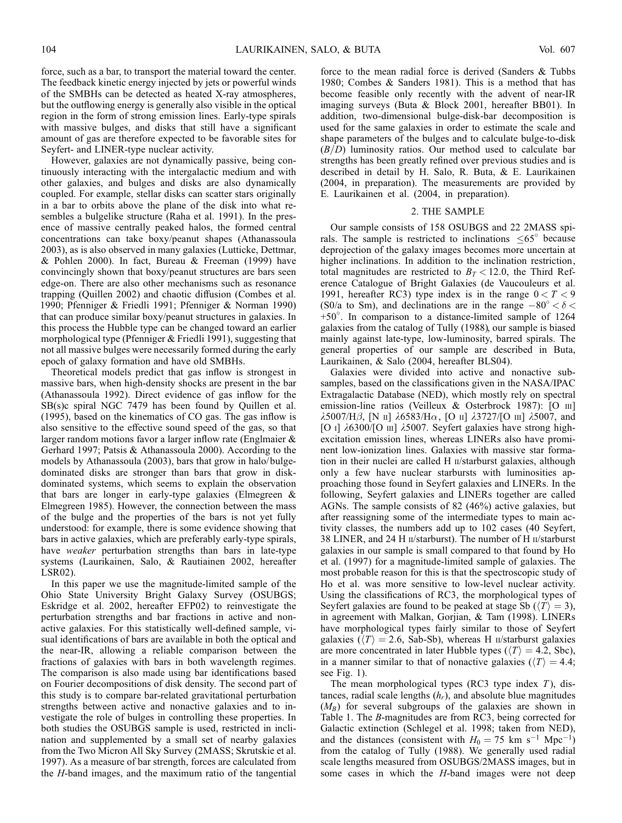force, such as a bar, to transport the material toward the center. The feedback kinetic energy injected by jets or powerful winds of the SMBHs can be detected as heated X-ray atmospheres, but the outflowing energy is generally also visible in the optical region in the form of strong emission lines. Early-type spirals with massive bulges, and disks that still have a significant amount of gas are therefore expected to be favorable sites for Seyfert- and LINER-type nuclear activity.

However, galaxies are not dynamically passive, being continuously interacting with the intergalactic medium and with other galaxies, and bulges and disks are also dynamically coupled. For example, stellar disks can scatter stars originally in a bar to orbits above the plane of the disk into what resembles a bulgelike structure (Raha et al. 1991). In the presence of massive centrally peaked halos, the formed central concentrations can take boxy/peanut shapes (Athanassoula 2003), as is also observed in many galaxies (Lutticke, Dettmar, & Pohlen 2000). In fact, Bureau & Freeman (1999) have convincingly shown that boxy/peanut structures are bars seen edge-on. There are also other mechanisms such as resonance trapping (Quillen 2002) and chaotic diffusion (Combes et al. 1990; Pfenniger & Friedli 1991; Pfenniger & Norman 1990) that can produce similar boxy/peanut structures in galaxies. In this process the Hubble type can be changed toward an earlier morphological type (Pfenniger & Friedli 1991), suggesting that not all massive bulges were necessarily formed during the early epoch of galaxy formation and have old SMBHs.

Theoretical models predict that gas inflow is strongest in massive bars, when high-density shocks are present in the bar (Athanassoula 1992). Direct evidence of gas inflow for the SB(s)c spiral NGC 7479 has been found by Quillen et al. (1995), based on the kinematics of CO gas. The gas inflow is also sensitive to the effective sound speed of the gas, so that larger random motions favor a larger inflow rate (Englmaier & Gerhard 1997; Patsis & Athanassoula 2000). According to the models by Athanassoula (2003), bars that grow in halo/ bulgedominated disks are stronger than bars that grow in diskdominated systems, which seems to explain the observation that bars are longer in early-type galaxies (Elmegreen & Elmegreen 1985). However, the connection between the mass of the bulge and the properties of the bars is not yet fully understood: for example, there is some evidence showing that bars in active galaxies, which are preferably early-type spirals, have *weaker* perturbation strengths than bars in late-type systems (Laurikainen, Salo, & Rautiainen 2002, hereafter LSR02).

In this paper we use the magnitude-limited sample of the Ohio State University Bright Galaxy Survey (OSUBGS; Eskridge et al. 2002, hereafter EFP02) to reinvestigate the perturbation strengths and bar fractions in active and nonactive galaxies. For this statistically well-defined sample, visual identifications of bars are available in both the optical and the near-IR, allowing a reliable comparison between the fractions of galaxies with bars in both wavelength regimes. The comparison is also made using bar identifications based on Fourier decompositions of disk density. The second part of this study is to compare bar-related gravitational perturbation strengths between active and nonactive galaxies and to investigate the role of bulges in controlling these properties. In both studies the OSUBGS sample is used, restricted in inclination and supplemented by a small set of nearby galaxies from the Two Micron All Sky Survey (2MASS; Skrutskie et al. 1997). As a measure of bar strength, forces are calculated from the H-band images, and the maximum ratio of the tangential

force to the mean radial force is derived (Sanders & Tubbs 1980; Combes & Sanders 1981). This is a method that has become feasible only recently with the advent of near-IR imaging surveys (Buta & Block 2001, hereafter BB01). In addition, two-dimensional bulge-disk-bar decomposition is used for the same galaxies in order to estimate the scale and shape parameters of the bulges and to calculate bulge-to-disk  $(B/D)$  luminosity ratios. Our method used to calculate bar strengths has been greatly refined over previous studies and is described in detail by H. Salo, R. Buta, & E. Laurikainen (2004, in preparation). The measurements are provided by E. Laurikainen et al. (2004, in preparation).

## 2. THE SAMPLE

Our sample consists of 158 OSUBGS and 22 2MASS spirals. The sample is restricted to inclinations  $\leq 65^\circ$  because deprojection of the galaxy images becomes more uncertain at higher inclinations. In addition to the inclination restriction, total magnitudes are restricted to  $B_T < 12.0$ , the Third Reference Catalogue of Bright Galaxies (de Vaucouleurs et al. 1991, hereafter RC3) type index is in the range  $0 < T < 9$ (S0/a to Sm), and declinations are in the range  $-80^{\circ} < \delta <$  $+50^\circ$ . In comparison to a distance-limited sample of 1264 galaxies from the catalog of Tully (1988), our sample is biased mainly against late-type, low-luminosity, barred spirals. The general properties of our sample are described in Buta, Laurikainen, & Salo (2004, hereafter BLS04).

Galaxies were divided into active and nonactive subsamples, based on the classifications given in the NASA/IPAC Extragalactic Database (NED), which mostly rely on spectral emission-line ratios (Veilleux & Osterbrock 1987): [O III]  $\lambda$ 5007/H $\beta$ , [N II]  $\lambda$ 6583/H $\alpha$ , [O II]  $\lambda$ 3727/[O III]  $\lambda$ 5007, and [O i]  $\lambda$ 6300/[O iii]  $\lambda$ 5007. Seyfert galaxies have strong highexcitation emission lines, whereas LINERs also have prominent low-ionization lines. Galaxies with massive star formation in their nuclei are called H  $\mu$ /starburst galaxies, although only a few have nuclear starbursts with luminosities approaching those found in Seyfert galaxies and LINERs. In the following, Seyfert galaxies and LINERs together are called AGNs. The sample consists of 82 (46%) active galaxies, but after reassigning some of the intermediate types to main activity classes, the numbers add up to 102 cases (40 Seyfert, 38 LINER, and 24 H  $u$ /starburst). The number of H  $u$ /starburst galaxies in our sample is small compared to that found by Ho et al. (1997) for a magnitude-limited sample of galaxies. The most probable reason for this is that the spectroscopic study of Ho et al. was more sensitive to low-level nuclear activity. Using the classifications of RC3, the morphological types of Seyfert galaxies are found to be peaked at stage Sb  $(\langle T \rangle = 3)$ , in agreement with Malkan, Gorjian, & Tam (1998). LINERs have morphological types fairly similar to those of Seyfert galaxies ( $\langle T \rangle$  = 2.6, Sab-Sb), whereas H  $\mu$ /starburst galaxies are more concentrated in later Hubble types ( $\langle T \rangle = 4.2$ , Sbc), in a manner similar to that of nonactive galaxies ( $\langle T \rangle = 4.4$ ; see Fig. 1).

The mean morphological types (RC3 type index  $T$ ), distances, radial scale lengths  $(h_r)$ , and absolute blue magnitudes  $(M_B)$  for several subgroups of the galaxies are shown in Table 1. The B-magnitudes are from RC3, being corrected for Galactic extinction (Schlegel et al. 1998; taken from NED), and the distances (consistent with  $H_0 = 75$  km s<sup>-1</sup> Mpc<sup>-1</sup>) from the catalog of Tully (1988). We generally used radial scale lengths measured from OSUBGS/2MASS images, but in some cases in which the H-band images were not deep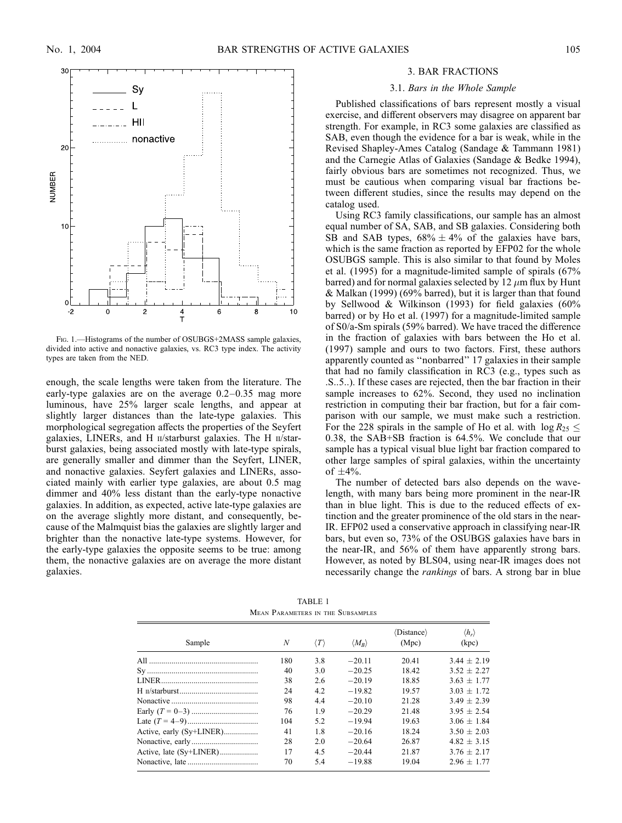

Fig. 1.—Histograms of the number of OSUBGS+2MASS sample galaxies, divided into active and nonactive galaxies, vs. RC3 type index. The activity types are taken from the NED.

enough, the scale lengths were taken from the literature. The early-type galaxies are on the average 0.2–0.35 mag more luminous, have 25% larger scale lengths, and appear at slightly larger distances than the late-type galaxies. This morphological segregation affects the properties of the Seyfert galaxies, LINERs, and H II/starburst galaxies. The H II/starburst galaxies, being associated mostly with late-type spirals, are generally smaller and dimmer than the Seyfert, LINER, and nonactive galaxies. Seyfert galaxies and LINERs, associated mainly with earlier type galaxies, are about 0.5 mag dimmer and 40% less distant than the early-type nonactive galaxies. In addition, as expected, active late-type galaxies are on the average slightly more distant, and consequently, because of the Malmquist bias the galaxies are slightly larger and brighter than the nonactive late-type systems. However, for the early-type galaxies the opposite seems to be true: among them, the nonactive galaxies are on average the more distant galaxies.

## 3. BAR FRACTIONS

# 3.1. Bars in the Whole Sample

Published classifications of bars represent mostly a visual exercise, and different observers may disagree on apparent bar strength. For example, in RC3 some galaxies are classified as SAB, even though the evidence for a bar is weak, while in the Revised Shapley-Ames Catalog (Sandage & Tammann 1981) and the Carnegie Atlas of Galaxies (Sandage & Bedke 1994), fairly obvious bars are sometimes not recognized. Thus, we must be cautious when comparing visual bar fractions between different studies, since the results may depend on the catalog used.

Using RC3 family classifications, our sample has an almost equal number of SA, SAB, and SB galaxies. Considering both SB and SAB types,  $68\% \pm 4\%$  of the galaxies have bars, which is the same fraction as reported by EFP02 for the whole OSUBGS sample. This is also similar to that found by Moles et al. (1995) for a magnitude-limited sample of spirals (67% barred) and for normal galaxies selected by 12  $\mu$ m flux by Hunt & Malkan (1999) (69% barred), but it is larger than that found by Sellwood & Wilkinson (1993) for field galaxies (60% barred) or by Ho et al. (1997) for a magnitude-limited sample of S0/a-Sm spirals (59% barred). We have traced the difference in the fraction of galaxies with bars between the Ho et al. (1997) sample and ours to two factors. First, these authors apparently counted as ''nonbarred'' 17 galaxies in their sample that had no family classification in RC3 (e.g., types such as .S..5..). If these cases are rejected, then the bar fraction in their sample increases to 62%. Second, they used no inclination restriction in computing their bar fraction, but for a fair comparison with our sample, we must make such a restriction. For the 228 spirals in the sample of Ho et al. with  $\log R_{25} \leq$ 0:38, the SAB+SB fraction is 64.5%. We conclude that our sample has a typical visual blue light bar fraction compared to other large samples of spiral galaxies, within the uncertainty of  $\pm 4\%$ .

The number of detected bars also depends on the wavelength, with many bars being more prominent in the near-IR than in blue light. This is due to the reduced effects of extinction and the greater prominence of the old stars in the near-IR. EFP02 used a conservative approach in classifying near-IR bars, but even so, 73% of the OSUBGS galaxies have bars in the near-IR, and 56% of them have apparently strong bars. However, as noted by BLS04, using near-IR images does not necessarily change the *rankings* of bars. A strong bar in blue

TABLE 1 Mean Parameters in the Subsamples

| Sample                   | N   | $\langle T \rangle$ | $\langle M_R \rangle$ | (Distance)<br>(Mpc) | $\langle h_r \rangle$<br>(kpc) |
|--------------------------|-----|---------------------|-----------------------|---------------------|--------------------------------|
|                          | 180 | 3.8                 | $-20.11$              | 20.41               | $3.44 \pm 2.19$                |
|                          | 40  | 3.0                 | $-20.25$              | 18.42               | $3.52 + 2.27$                  |
|                          | 38  | 2.6                 | $-20.19$              | 18.85               | $3.63 \pm 1.77$                |
|                          | 24  | 4.2                 | $-19.82$              | 19.57               | $3.03 \pm 1.72$                |
|                          | 98  | 4.4                 | $-20.10$              | 21.28               | $3.49 + 2.39$                  |
|                          | 76  | 1.9                 | $-20.29$              | 21.48               | $3.95 + 2.54$                  |
|                          | 104 | 5.2                 | $-19.94$              | 19.63               | $3.06 \pm 1.84$                |
| Active, early (Sy+LINER) | 41  | 1.8                 | $-20.16$              | 18.24               | $3.50 \pm 2.03$                |
|                          | 28  | 2.0                 | $-20.64$              | 26.87               | $4.82 + 3.15$                  |
|                          | 17  | 4.5                 | $-20.44$              | 21.87               | $3.76 \pm 2.17$                |
|                          | 70  | 5.4                 | $-19.88$              | 19.04               | $2.96 + 1.77$                  |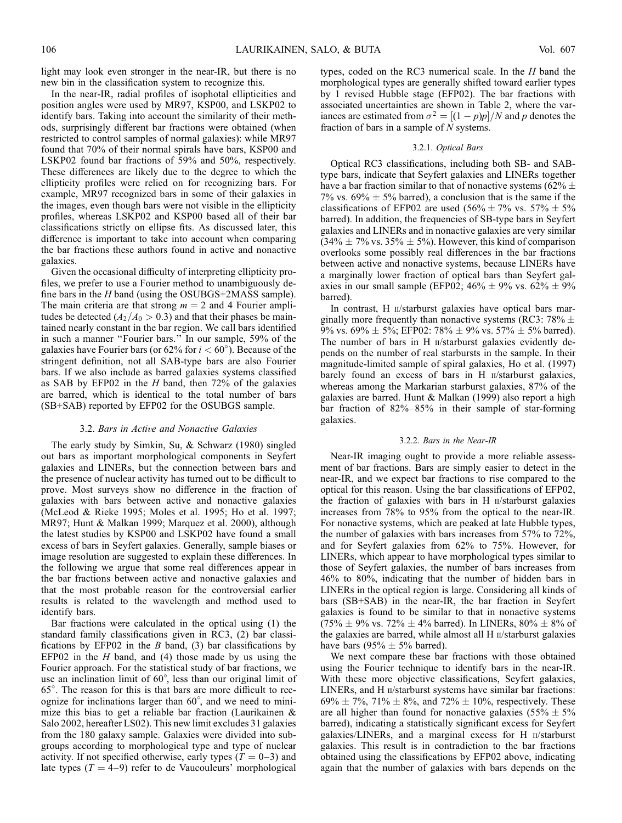light may look even stronger in the near-IR, but there is no new bin in the classification system to recognize this.

In the near-IR, radial profiles of isophotal ellipticities and position angles were used by MR97, KSP00, and LSKP02 to identify bars. Taking into account the similarity of their methods, surprisingly different bar fractions were obtained (when restricted to control samples of normal galaxies): while MR97 found that 70% of their normal spirals have bars, KSP00 and LSKP02 found bar fractions of 59% and 50%, respectively. These differences are likely due to the degree to which the ellipticity profiles were relied on for recognizing bars. For example, MR97 recognized bars in some of their galaxies in the images, even though bars were not visible in the ellipticity profiles, whereas LSKP02 and KSP00 based all of their bar classifications strictly on ellipse fits. As discussed later, this difference is important to take into account when comparing the bar fractions these authors found in active and nonactive galaxies.

Given the occasional difficulty of interpreting ellipticity profiles, we prefer to use a Fourier method to unambiguously define bars in the H band (using the OSUBGS+2MASS sample). The main criteria are that strong  $m = 2$  and 4 Fourier amplitudes be detected  $(A_2/A_0 > 0.3)$  and that their phases be maintained nearly constant in the bar region. We call bars identified in such a manner ''Fourier bars.'' In our sample, 59% of the galaxies have Fourier bars (or 62% for  $i < 60^{\circ}$ ). Because of the stringent definition, not all SAB-type bars are also Fourier bars. If we also include as barred galaxies systems classified as SAB by EFP02 in the  $H$  band, then 72% of the galaxies are barred, which is identical to the total number of bars (SB+SAB) reported by EFP02 for the OSUBGS sample.

### 3.2. Bars in Active and Nonactive Galaxies

The early study by Simkin, Su, & Schwarz (1980) singled out bars as important morphological components in Seyfert galaxies and LINERs, but the connection between bars and the presence of nuclear activity has turned out to be difficult to prove. Most surveys show no difference in the fraction of galaxies with bars between active and nonactive galaxies (McLeod & Rieke 1995; Moles et al. 1995; Ho et al. 1997; MR97; Hunt & Malkan 1999; Marquez et al. 2000), although the latest studies by KSP00 and LSKP02 have found a small excess of bars in Seyfert galaxies. Generally, sample biases or image resolution are suggested to explain these differences. In the following we argue that some real differences appear in the bar fractions between active and nonactive galaxies and that the most probable reason for the controversial earlier results is related to the wavelength and method used to identify bars.

Bar fractions were calculated in the optical using (1) the standard family classifications given in RC3, (2) bar classifications by EFP02 in the  $B$  band, (3) bar classifications by EFP02 in the  $H$  band, and (4) those made by us using the Fourier approach. For the statistical study of bar fractions, we use an inclination limit of 60°, less than our original limit of 65- . The reason for this is that bars are more difficult to recognize for inclinations larger than  $60^\circ$ , and we need to minimize this bias to get a reliable bar fraction (Laurikainen & Salo 2002, hereafter LS02). This new limit excludes 31 galaxies from the 180 galaxy sample. Galaxies were divided into subgroups according to morphological type and type of nuclear activity. If not specified otherwise, early types  $(T = 0-3)$  and late types  $(T = 4-9)$  refer to de Vaucouleurs' morphological types, coded on the RC3 numerical scale. In the H band the morphological types are generally shifted toward earlier types by 1 revised Hubble stage (EFP02). The bar fractions with associated uncertainties are shown in Table 2, where the variances are estimated from  $\sigma^2 = [(1 - p)p]/N$  and p denotes the fraction of bars in a sample of  $N$  systems.

#### 3.2.1. Optical Bars

Optical RC3 classifications, including both SB- and SABtype bars, indicate that Seyfert galaxies and LINERs together have a bar fraction similar to that of nonactive systems (62%  $\pm$ 7% vs.  $69\% \pm 5\%$  barred), a conclusion that is the same if the classifications of EFP02 are used  $(56\% \pm 7\% \text{ vs. } 57\% \pm 5\%$ barred). In addition, the frequencies of SB-type bars in Seyfert galaxies and LINERs and in nonactive galaxies are very similar  $(34\% \pm 7\% \text{ vs. } 35\% \pm 5\%)$ . However, this kind of comparison overlooks some possibly real differences in the bar fractions between active and nonactive systems, because LINERs have a marginally lower fraction of optical bars than Seyfert galaxies in our small sample (EFP02;  $46\% \pm 9\%$  vs.  $62\% \pm 9\%$ barred).

In contrast, H  $\mu$ /starburst galaxies have optical bars marginally more frequently than nonactive systems (RC3:  $78\% \pm$ 9% vs. 69%  $\pm$  5%; EFP02: 78%  $\pm$  9% vs. 57%  $\pm$  5% barred). The number of bars in H  $\mu$ /starburst galaxies evidently depends on the number of real starbursts in the sample. In their magnitude-limited sample of spiral galaxies, Ho et al. (1997) barely found an excess of bars in H  $\mu$ /starburst galaxies, whereas among the Markarian starburst galaxies, 87% of the galaxies are barred. Hunt & Malkan (1999) also report a high bar fraction of 82%–85% in their sample of star-forming galaxies.

### 3.2.2. Bars in the Near-IR

Near-IR imaging ought to provide a more reliable assessment of bar fractions. Bars are simply easier to detect in the near-IR, and we expect bar fractions to rise compared to the optical for this reason. Using the bar classifications of EFP02, the fraction of galaxies with bars in H  $\pi$ /starburst galaxies increases from 78% to 95% from the optical to the near-IR. For nonactive systems, which are peaked at late Hubble types, the number of galaxies with bars increases from 57% to 72%, and for Seyfert galaxies from 62% to 75%. However, for LINERs, which appear to have morphological types similar to those of Seyfert galaxies, the number of bars increases from 46% to 80%, indicating that the number of hidden bars in LINERs in the optical region is large. Considering all kinds of bars (SB+SAB) in the near-IR, the bar fraction in Seyfert galaxies is found to be similar to that in nonactive systems  $(75\% \pm 9\% \text{ vs. } 72\% \pm 4\% \text{ barred})$ . In LINERs,  $80\% \pm 8\% \text{ of }$ the galaxies are barred, while almost all H  $\pi$ /starburst galaxies have bars (95%  $\pm$  5% barred).

We next compare these bar fractions with those obtained using the Fourier technique to identify bars in the near-IR. With these more objective classifications, Seyfert galaxies, LINERs, and H  $\text{II/starburst}$  systems have similar bar fractions: 69%  $\pm$  7%, 71%  $\pm$  8%, and 72%  $\pm$  10%, respectively. These are all higher than found for nonactive galaxies  $(55\% \pm 5\%)$ barred), indicating a statistically significant excess for Seyfert galaxies/LINERs, and a marginal excess for H ii/starburst galaxies. This result is in contradiction to the bar fractions obtained using the classifications by EFP02 above, indicating again that the number of galaxies with bars depends on the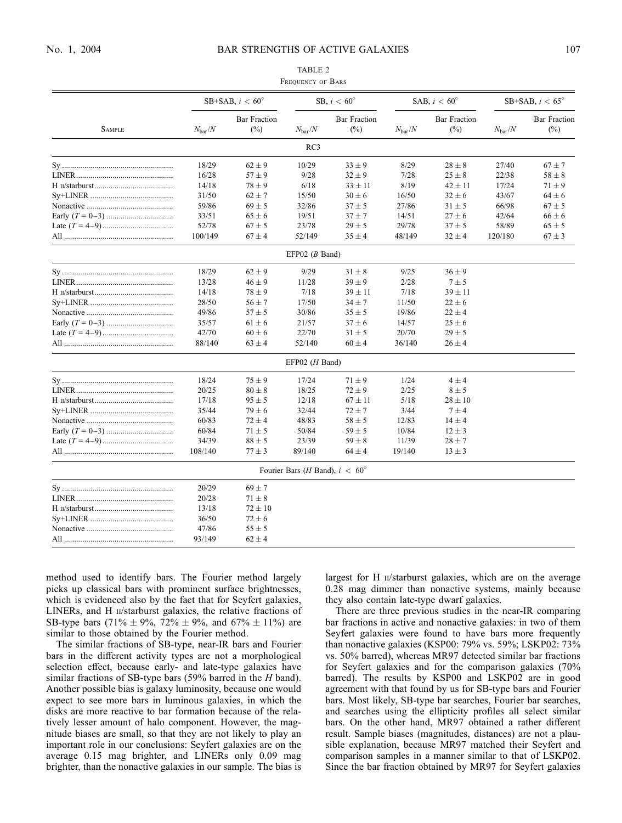|               |                 |                               | <b>FREQUENCY OF BARS</b> |                                               |                     |                               |                        |                               |
|---------------|-----------------|-------------------------------|--------------------------|-----------------------------------------------|---------------------|-------------------------------|------------------------|-------------------------------|
|               |                 | SB+SAB, $i < 60^\circ$        |                          | SB, $i < 60^\circ$                            | SAB, $i < 60^\circ$ |                               | SB+SAB, $i < 65^\circ$ |                               |
| <b>SAMPLE</b> | $N_{\rm bar}/N$ | <b>Bar Fraction</b><br>$(\%)$ | $N_{\rm bar}/N$          | <b>Bar Fraction</b><br>$(\%)$                 | $N_{\rm bar}/N$     | <b>Bar Fraction</b><br>$(\%)$ | $N_{\rm bar}/N$        | <b>Bar Fraction</b><br>$(\%)$ |
|               |                 |                               | RC3                      |                                               |                     |                               |                        |                               |
|               | 18/29           | $62 \pm 9$                    | 10/29                    | $33 \pm 9$                                    | 8/29                | $28 \pm 8$                    | 27/40                  | $67 \pm 7$                    |
|               | 16/28           | $57 \pm 9$                    | 9/28                     | $32 \pm 9$                                    | 7/28                | $25 \pm 8$                    | 22/38                  | $58 \pm 8$                    |
|               | 14/18           | $78 \pm 9$                    | 6/18                     | $33 \pm 11$                                   | 8/19                | $42 \pm 11$                   | 17/24                  | $71 \pm 9$                    |
|               | 31/50           | $62 \pm 7$                    | 15/50                    | $30 \pm 6$                                    | 16/50               | $32 \pm 6$                    | 43/67                  | $64 \pm 6$                    |
|               | 59/86           | $69 \pm 5$                    | 32/86                    | $37 \pm 5$                                    | 27/86               | $31 \pm 5$                    | 66/98                  | $67 \pm 5$                    |
|               | 33/51           | $65 \pm 6$                    | 19/51                    | $37 + 7$                                      | 14/51               | $27 \pm 6$                    | 42/64                  | $66 \pm 6$                    |
|               | 52/78           | $67 \pm 5$                    | 23/78                    | $29 \pm 5$                                    | 29/78               | $37 \pm 5$                    | 58/89                  | $65 \pm 5$                    |
|               | 100/149         | $67 \pm 4$                    | 52/149                   | $35 \pm 4$                                    | 48/149              | $32 \pm 4$                    | 120/180                | $67 \pm 3$                    |
|               |                 |                               | EFP02 $(B$ Band)         |                                               |                     |                               |                        |                               |
|               | 18/29           | $62 \pm 9$                    | 9/29                     | $31 \pm 8$                                    | 9/25                | $36 \pm 9$                    |                        |                               |
|               | 13/28           | $46 \pm 9$                    | 11/28                    | $39 \pm 9$                                    | 2/28                | $7 \pm 5$                     |                        |                               |
|               | 14/18           | $78 \pm 9$                    | 7/18                     | $39 \pm 11$                                   | 7/18                | $39 \pm 11$                   |                        |                               |
|               | 28/50           | $56 \pm 7$                    | 17/50                    | $34 \pm 7$                                    | 11/50               | $22 \pm 6$                    |                        |                               |
|               | 49/86           | $57 \pm 5$                    | 30/86                    | $35 \pm 5$                                    | 19/86               | $22 \pm 4$                    |                        |                               |
|               | 35/57           | $61 \pm 6$                    | 21/57                    | $37 \pm 6$                                    | 14/57               | $25 \pm 6$                    |                        |                               |
|               | 42/70           | $60 \pm 6$                    | 22/70                    | $31 \pm 5$                                    | 20/70               | $29 \pm 5$                    |                        |                               |
|               | 88/140          | $63 \pm 4$                    | 52/140                   | $60 \pm 4$                                    | 36/140              | $26 \pm 4$                    |                        |                               |
|               |                 |                               | EFP02 $(H$ Band)         |                                               |                     |                               |                        |                               |
|               | 18/24           | $75 \pm 9$                    | 17/24                    | $71 \pm 9$                                    | 1/24                | $4 \pm 4$                     |                        |                               |
|               | 20/25           | $80 \pm 8$                    | 18/25                    | $72 \pm 9$                                    | 2/25                | $8 \pm 5$                     |                        |                               |
|               | 17/18           | $95 \pm 5$                    | 12/18                    | $67 \pm 11$                                   | 5/18                | $28 \pm 10$                   |                        |                               |
|               | 35/44           | $79 \pm 6$                    | 32/44                    | $72 + 7$                                      | 3/44                | $7 \pm 4$                     |                        |                               |
|               | 60/83           | $72 \pm 4$                    | 48/83                    | $58 \pm 5$                                    | 12/83               | $14 \pm 4$                    |                        |                               |
|               | 60/84           | $71 \pm 5$                    | 50/84                    | $59 \pm 5$                                    | 10/84               | $12 \pm 3$                    |                        |                               |
|               | 34/39           | $88 \pm 5$                    | 23/39                    | $59 \pm 8$                                    | 11/39               | $28 \pm 7$                    |                        |                               |
|               | 108/140         | $77 \pm 3$                    | 89/140                   | $64 \pm 4$                                    | 19/140              | $13 \pm 3$                    |                        |                               |
|               |                 |                               |                          | Fourier Bars ( <i>H</i> Band), $i < 60^\circ$ |                     |                               |                        |                               |
|               |                 |                               |                          |                                               |                     |                               |                        |                               |
|               | 20/29<br>20/28  | $69 \pm 7$                    |                          |                                               |                     |                               |                        |                               |
|               |                 | $71 \pm 8$                    |                          |                                               |                     |                               |                        |                               |
|               | 13/18           | $72 \pm 10$                   |                          |                                               |                     |                               |                        |                               |
|               | 36/50           | $72 \pm 6$                    |                          |                                               |                     |                               |                        |                               |
|               | 47/86           | $55 \pm 5$                    |                          |                                               |                     |                               |                        |                               |
|               | 93/149          | $62 \pm 4$                    |                          |                                               |                     |                               |                        |                               |

TABLE 2

method used to identify bars. The Fourier method largely picks up classical bars with prominent surface brightnesses, which is evidenced also by the fact that for Seyfert galaxies, LINERs, and H  $\mu$ /starburst galaxies, the relative fractions of SB-type bars (71%  $\pm$  9%, 72%  $\pm$  9%, and 67%  $\pm$  11%) are similar to those obtained by the Fourier method.

The similar fractions of SB-type, near-IR bars and Fourier bars in the different activity types are not a morphological selection effect, because early- and late-type galaxies have similar fractions of SB-type bars (59% barred in the  $H$  band). Another possible bias is galaxy luminosity, because one would expect to see more bars in luminous galaxies, in which the disks are more reactive to bar formation because of the relatively lesser amount of halo component. However, the magnitude biases are small, so that they are not likely to play an important role in our conclusions: Seyfert galaxies are on the average 0.15 mag brighter, and LINERs only 0.09 mag brighter, than the nonactive galaxies in our sample. The bias is largest for H  $\text{II}/\text{starburst}$  galaxies, which are on the average 0.28 mag dimmer than nonactive systems, mainly because they also contain late-type dwarf galaxies.

There are three previous studies in the near-IR comparing bar fractions in active and nonactive galaxies: in two of them Seyfert galaxies were found to have bars more frequently than nonactive galaxies (KSP00: 79% vs. 59%; LSKP02: 73% vs. 50% barred), whereas MR97 detected similar bar fractions for Seyfert galaxies and for the comparison galaxies (70% barred). The results by KSP00 and LSKP02 are in good agreement with that found by us for SB-type bars and Fourier bars. Most likely, SB-type bar searches, Fourier bar searches, and searches using the ellipticity profiles all select similar bars. On the other hand, MR97 obtained a rather different result. Sample biases (magnitudes, distances) are not a plausible explanation, because MR97 matched their Seyfert and comparison samples in a manner similar to that of LSKP02. Since the bar fraction obtained by MR97 for Seyfert galaxies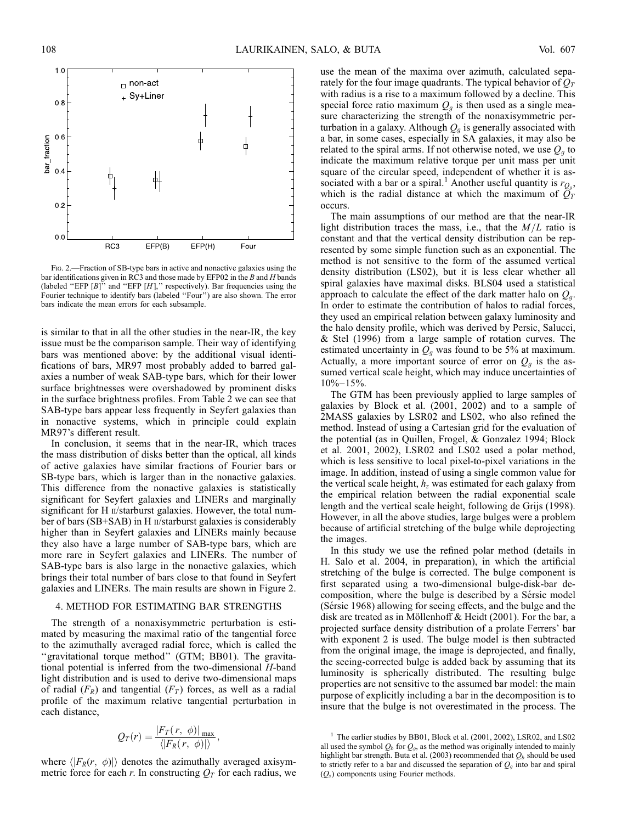

FIG. 2.—Fraction of SB-type bars in active and nonactive galaxies using the bar identifications given in RC3 and those made by EFP02 in the  $B$  and  $H$  bands (labeled "EFP  $[B]$ " and "EFP  $[H]$ ," respectively). Bar frequencies using the Fourier technique to identify bars (labeled ''Four'') are also shown. The error bars indicate the mean errors for each subsample.

is similar to that in all the other studies in the near-IR, the key issue must be the comparison sample. Their way of identifying bars was mentioned above: by the additional visual identifications of bars, MR97 most probably added to barred galaxies a number of weak SAB-type bars, which for their lower surface brightnesses were overshadowed by prominent disks in the surface brightness profiles. From Table 2 we can see that SAB-type bars appear less frequently in Seyfert galaxies than in nonactive systems, which in principle could explain MR97's different result.

In conclusion, it seems that in the near-IR, which traces the mass distribution of disks better than the optical, all kinds of active galaxies have similar fractions of Fourier bars or SB-type bars, which is larger than in the nonactive galaxies. This difference from the nonactive galaxies is statistically significant for Seyfert galaxies and LINERs and marginally significant for H  $\mu$ /starburst galaxies. However, the total number of bars (SB+SAB) in H  $\text{II}/\text{star}$  burst galaxies is considerably higher than in Seyfert galaxies and LINERs mainly because they also have a large number of SAB-type bars, which are more rare in Seyfert galaxies and LINERs. The number of SAB-type bars is also large in the nonactive galaxies, which brings their total number of bars close to that found in Seyfert galaxies and LINERs. The main results are shown in Figure 2.

# 4. METHOD FOR ESTIMATING BAR STRENGTHS

The strength of a nonaxisymmetric perturbation is estimated by measuring the maximal ratio of the tangential force to the azimuthally averaged radial force, which is called the "gravitational torque method" (GTM; BB01). The gravitational potential is inferred from the two-dimensional H-band light distribution and is used to derive two-dimensional maps of radial  $(F_R)$  and tangential  $(F_T)$  forces, as well as a radial profile of the maximum relative tangential perturbation in each distance,

$$
Q_T(r) = \frac{|F_T(r, \phi)|_{\max}}{\langle |F_R(r, \phi)| \rangle},
$$

where  $\langle F_R(r, \phi) \rangle$  denotes the azimuthally averaged axisymmetric force for each r. In constructing  $Q_T$  for each radius, we use the mean of the maxima over azimuth, calculated separately for the four image quadrants. The typical behavior of  $Q_T$ with radius is a rise to a maximum followed by a decline. This special force ratio maximum  $Q<sub>q</sub>$  is then used as a single measure characterizing the strength of the nonaxisymmetric perturbation in a galaxy. Although  $Q_q$  is generally associated with a bar, in some cases, especially in SA galaxies, it may also be related to the spiral arms. If not otherwise noted, we use  $Q_q$  to indicate the maximum relative torque per unit mass per unit square of the circular speed, independent of whether it is associated with a bar or a spiral.<sup>1</sup> Another useful quantity is  $r_{Q_g}$ , which is the radial distance at which the maximum of  $Q_T$ occurs.

The main assumptions of our method are that the near-IR light distribution traces the mass, i.e., that the  $M/L$  ratio is constant and that the vertical density distribution can be represented by some simple function such as an exponential. The method is not sensitive to the form of the assumed vertical density distribution (LS02), but it is less clear whether all spiral galaxies have maximal disks. BLS04 used a statistical approach to calculate the effect of the dark matter halo on  $Q_q$ . In order to estimate the contribution of halos to radial forces, they used an empirical relation between galaxy luminosity and the halo density profile, which was derived by Persic, Salucci, & Stel (1996) from a large sample of rotation curves. The estimated uncertainty in  $Q<sub>g</sub>$  was found to be 5% at maximum. Actually, a more important source of error on  $Q_q$  is the assumed vertical scale height, which may induce uncertainties of  $10\% - 15\%$ .

The GTM has been previously applied to large samples of galaxies by Block et al. (2001, 2002) and to a sample of 2MASS galaxies by LSR02 and LS02, who also refined the method. Instead of using a Cartesian grid for the evaluation of the potential (as in Quillen, Frogel, & Gonzalez 1994; Block et al. 2001, 2002), LSR02 and LS02 used a polar method, which is less sensitive to local pixel-to-pixel variations in the image. In addition, instead of using a single common value for the vertical scale height,  $h<sub>z</sub>$  was estimated for each galaxy from the empirical relation between the radial exponential scale length and the vertical scale height, following de Grijs (1998). However, in all the above studies, large bulges were a problem because of artificial stretching of the bulge while deprojecting the images.

In this study we use the refined polar method (details in H. Salo et al. 2004, in preparation), in which the artificial stretching of the bulge is corrected. The bulge component is first separated using a two-dimensional bulge-disk-bar decomposition, where the bulge is described by a Sérsic model (Sérsic 1968) allowing for seeing effects, and the bulge and the disk are treated as in Möllenhoff  $&$  Heidt (2001). For the bar, a projected surface density distribution of a prolate Ferrers' bar with exponent 2 is used. The bulge model is then subtracted from the original image, the image is deprojected, and finally, the seeing-corrected bulge is added back by assuming that its luminosity is spherically distributed. The resulting bulge properties are not sensitive to the assumed bar model: the main purpose of explicitly including a bar in the decomposition is to insure that the bulge is not overestimated in the process. The

<sup>&</sup>lt;sup>1</sup> The earlier studies by BB01, Block et al. (2001, 2002), LSR02, and LS02 all used the symbol  $Q_b$  for  $Q_g$ , as the method was originally intended to mainly highlight bar strength. Buta et al. (2003) recommended that  $Q_b$  should be used to strictly refer to a bar and discussed the separation of  $Q_q$  into bar and spiral  $(Q_s)$  components using Fourier methods.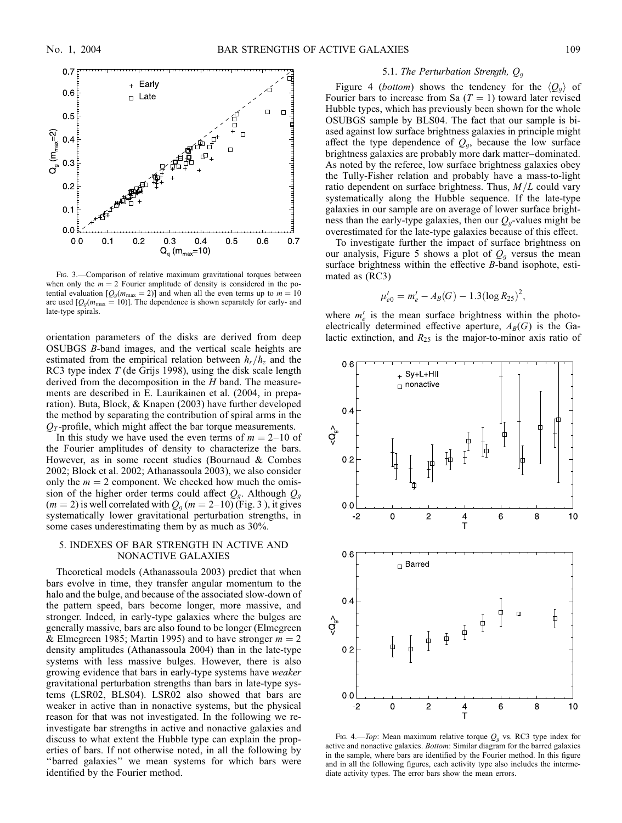

Fig. 3.—Comparison of relative maximum gravitational torques between when only the  $m = 2$  Fourier amplitude of density is considered in the potential evaluation  $[Q_g(m_{\text{max}} = 2)]$  and when all the even terms up to  $m = 10$ are used  $[Q_g(m_{\text{max}} = 10)]$ . The dependence is shown separately for early- and late-type spirals.

orientation parameters of the disks are derived from deep OSUBGS B-band images, and the vertical scale heights are estimated from the empirical relation between  $h_r/h_z$  and the RC3 type index  $T$  (de Grijs 1998), using the disk scale length derived from the decomposition in the  $H$  band. The measurements are described in E. Laurikainen et al. (2004, in preparation). Buta, Block, & Knapen (2003) have further developed the method by separating the contribution of spiral arms in the  $Q_T$ -profile, which might affect the bar torque measurements.

In this study we have used the even terms of  $m = 2-10$  of the Fourier amplitudes of density to characterize the bars. However, as in some recent studies (Bournaud & Combes 2002; Block et al. 2002; Athanassoula 2003), we also consider only the  $m = 2$  component. We checked how much the omission of the higher order terms could affect  $Q_g$ . Although  $Q_g$  $(m = 2)$  is well correlated with  $Q_g$   $(m = 2-10)$  (Fig. 3), it gives systematically lower gravitational perturbation strengths, in some cases underestimating them by as much as 30%.

## 5. INDEXES OF BAR STRENGTH IN ACTIVE AND NONACTIVE GALAXIES

Theoretical models (Athanassoula 2003) predict that when bars evolve in time, they transfer angular momentum to the halo and the bulge, and because of the associated slow-down of the pattern speed, bars become longer, more massive, and stronger. Indeed, in early-type galaxies where the bulges are generally massive, bars are also found to be longer (Elmegreen & Elmegreen 1985; Martin 1995) and to have stronger  $m = 2$ density amplitudes (Athanassoula 2004) than in the late-type systems with less massive bulges. However, there is also growing evidence that bars in early-type systems have weaker gravitational perturbation strengths than bars in late-type systems (LSR02, BLS04). LSR02 also showed that bars are weaker in active than in nonactive systems, but the physical reason for that was not investigated. In the following we reinvestigate bar strengths in active and nonactive galaxies and discuss to what extent the Hubble type can explain the properties of bars. If not otherwise noted, in all the following by "barred galaxies" we mean systems for which bars were identified by the Fourier method.

### 5.1. The Perturbation Strength,  $Q_q$

Figure 4 (*bottom*) shows the tendency for the  $\langle O_{q} \rangle$  of Fourier bars to increase from Sa  $(T = 1)$  toward later revised Hubble types, which has previously been shown for the whole OSUBGS sample by BLS04. The fact that our sample is biased against low surface brightness galaxies in principle might affect the type dependence of  $Q<sub>g</sub>$ , because the low surface brightness galaxies are probably more dark matter–dominated. As noted by the referee, low surface brightness galaxies obey the Tully-Fisher relation and probably have a mass-to-light ratio dependent on surface brightness. Thus,  $M/L$  could vary systematically along the Hubble sequence. If the late-type galaxies in our sample are on average of lower surface brightness than the early-type galaxies, then our  $Q<sub>g</sub>$ -values might be overestimated for the late-type galaxies because of this effect.

To investigate further the impact of surface brightness on our analysis, Figure 5 shows a plot of  $Q_q$  versus the mean surface brightness within the effective *B*-band isophote, estimated as (RC3)

$$
\mu'_{e0} = m'_e - A_B(G) - 1.3(\log R_{25})^2,
$$

where  $m'_e$  is the mean surface brightness within the photoelectrically determined effective aperture,  $A_B(G)$  is the Galactic extinction, and  $R_{25}$  is the major-to-minor axis ratio of



Fig. 4.—Top: Mean maximum relative torque  $Q<sub>g</sub>$  vs. RC3 type index for active and nonactive galaxies. Bottom: Similar diagram for the barred galaxies in the sample, where bars are identified by the Fourier method. In this figure and in all the following figures, each activity type also includes the intermediate activity types. The error bars show the mean errors.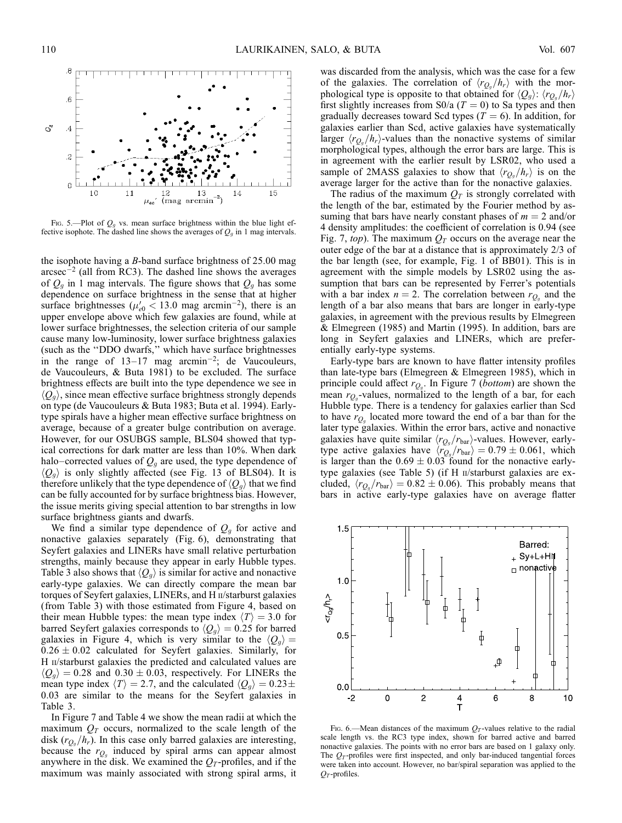

Fig. 5.—Plot of  $Q_q$  vs. mean surface brightness within the blue light effective isophote. The dashed line shows the averages of  $Q_q$  in 1 mag intervals.

the isophote having a B-band surface brightness of 25.00 mag  $\arcsc^{-2}$  (all from RC3). The dashed line shows the averages of  $Q_q$  in 1 mag intervals. The figure shows that  $Q_q$  has some dependence on surface brightness in the sense that at higher surface brightnesses ( $\mu'_{e0}$  < 13.0 mag arcmin<sup>-2</sup>), there is an upper envelope above which few galaxies are found, while at lower surface brightnesses, the selection criteria of our sample cause many low-luminosity, lower surface brightness galaxies (such as the ''DDO dwarfs,'' which have surface brightnesses in the range of  $13-17$  mag arcmin<sup>-2</sup>; de Vaucouleurs, de Vaucouleurs, & Buta 1981) to be excluded. The surface brightness effects are built into the type dependence we see in  $\langle Q_{q} \rangle$ , since mean effective surface brightness strongly depends on type (de Vaucouleurs & Buta 1983; Buta et al. 1994). Earlytype spirals have a higher mean effective surface brightness on average, because of a greater bulge contribution on average. However, for our OSUBGS sample, BLS04 showed that typical corrections for dark matter are less than 10%. When dark halo–corrected values of  $Q<sub>g</sub>$  are used, the type dependence of  $\langle Q_g \rangle$  is only slightly affected (see Fig. 13 of BLS04). It is therefore unlikely that the type dependence of  $\langle Q_q \rangle$  that we find can be fully accounted for by surface brightness bias. However, the issue merits giving special attention to bar strengths in low surface brightness giants and dwarfs.

We find a similar type dependence of  $Q_q$  for active and nonactive galaxies separately (Fig. 6), demonstrating that Seyfert galaxies and LINERs have small relative perturbation strengths, mainly because they appear in early Hubble types. Table 3 also shows that  $\langle Q_{q} \rangle$  is similar for active and nonactive early-type galaxies. We can directly compare the mean bar torques of Seyfert galaxies, LINERs, and H ii/starburst galaxies (from Table 3) with those estimated from Figure 4, based on their mean Hubble types: the mean type index  $\langle T \rangle = 3.0$  for barred Seyfert galaxies corresponds to  $\langle Q_q \rangle = 0.25$  for barred galaxies in Figure 4, which is very similar to the  $\langle Q_g \rangle =$  $0.26 \pm 0.02$  calculated for Seyfert galaxies. Similarly, for H  $\mu$ /starburst galaxies the predicted and calculated values are  $\langle Q_g \rangle = 0.28$  and  $0.30 \pm 0.03$ , respectively. For LINERs the mean type index  $\langle T \rangle = 2.7$ , and the calculated  $\langle Q_q \rangle = 0.23 \pm 1.2$ 0:03 are similar to the means for the Seyfert galaxies in Table 3.

In Figure 7 and Table 4 we show the mean radii at which the maximum  $Q_T$  occurs, normalized to the scale length of the disk ( $r_{Q_q}/h_r$ ). In this case only barred galaxies are interesting, because the  $r_{Q_g}$  induced by spiral arms can appear almost anywhere in the disk. We examined the  $Q_T$ -profiles, and if the maximum was mainly associated with strong spiral arms, it was discarded from the analysis, which was the case for a few of the galaxies. The correlation of  $\langle r_{Q_q}/h_r \rangle$  with the morphological type is opposite to that obtained for  $\langle Q_g \rangle$ :  $\langle r_{Q_g}/h_r \rangle$ first slightly increases from S0/a  $(T = 0)$  to Sa types and then gradually decreases toward Scd types ( $T = 6$ ). In addition, for galaxies earlier than Scd, active galaxies have systematically larger  $\langle r_{Q_g}/h_r\rangle$ -values than the nonactive systems of similar morphological types, although the error bars are large. This is in agreement with the earlier result by LSR02, who used a sample of 2MASS galaxies to show that  $\langle r_{Q_g}/h_r \rangle$  is on the average larger for the active than for the nonactive galaxies.

The radius of the maximum  $Q_T$  is strongly correlated with the length of the bar, estimated by the Fourier method by assuming that bars have nearly constant phases of  $m = 2$  and/or 4 density amplitudes: the coefficient of correlation is 0.94 (see Fig. 7, top). The maximum  $Q_T$  occurs on the average near the outer edge of the bar at a distance that is approximately 2/3 of the bar length (see, for example, Fig. 1 of BB01). This is in agreement with the simple models by LSR02 using the assumption that bars can be represented by Ferrer's potentials with a bar index  $n = 2$ . The correlation between  $r_{Q_q}$  and the length of a bar also means that bars are longer in early-type galaxies, in agreement with the previous results by Elmegreen & Elmegreen (1985) and Martin (1995). In addition, bars are long in Seyfert galaxies and LINERs, which are preferentially early-type systems.

Early-type bars are known to have flatter intensity profiles than late-type bars (Elmegreen & Elmegreen 1985), which in principle could affect  $r_{Q_q}$ . In Figure 7 (*bottom*) are shown the mean  $r<sub>O</sub>$ -values, normalized to the length of a bar, for each Hubble type. There is a tendency for galaxies earlier than Scd to have  $r_{Q_q}$  located more toward the end of a bar than for the later type galaxies. Within the error bars, active and nonactive galaxies have quite similar  $\langle r_{Q_g}/r_{\text{bar}}\rangle$ -values. However, earlytype active galaxies have  $\langle r_{Q_g}/r_{\text{bar}} \rangle = 0.79 \pm 0.061$ , which is larger than the  $0.69 \pm 0.03$  found for the nonactive earlytype galaxies (see Table 5) (if H  $\text{II}/\text{star}$ burst galaxies are excluded,  $\langle r_{Q_g}/r_{bar} \rangle = 0.82 \pm 0.06$ . This probably means that bars in active early-type galaxies have on average flatter



Fig. 6.—Mean distances of the maximum  $Q_T$ -values relative to the radial scale length vs. the RC3 type index, shown for barred active and barred nonactive galaxies. The points with no error bars are based on 1 galaxy only. The  $Q_T$ -profiles were first inspected, and only bar-induced tangential forces were taken into account. However, no bar/spiral separation was applied to the  $Q_T$ -profiles.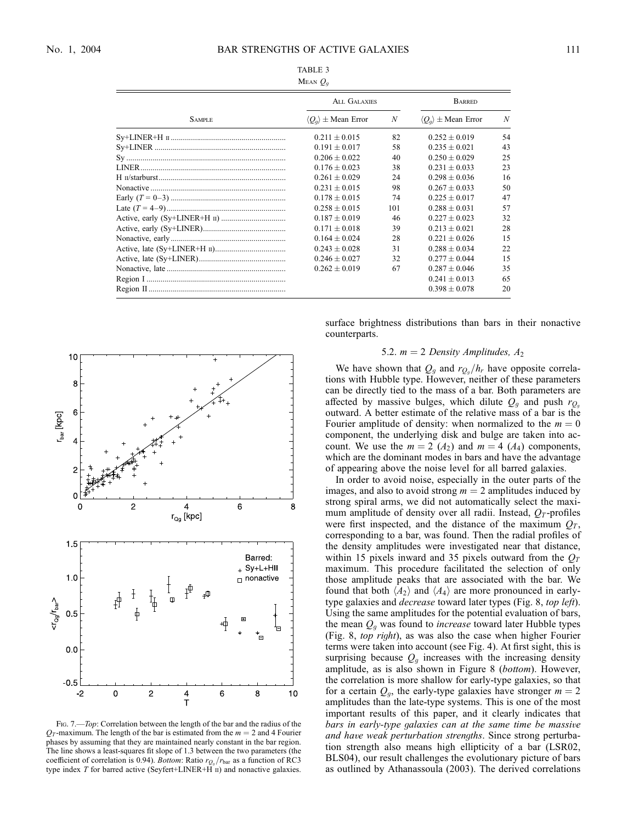÷,

TABLE 3

|               | MEAN $Q_a$                                |               |                                           |    |
|---------------|-------------------------------------------|---------------|-------------------------------------------|----|
|               | <b>ALL GALAXIES</b>                       | <b>BARRED</b> |                                           |    |
| <b>SAMPLE</b> | $\langle Q_{\alpha} \rangle$ ± Mean Error | N             | $\langle Q_{\alpha} \rangle$ ± Mean Error | N  |
|               | $0.211 \pm 0.015$                         | 82            | $0.252 \pm 0.019$                         | 54 |
|               | $0.191 \pm 0.017$                         | 58            | $0.235 \pm 0.021$                         | 43 |
|               | $0.206 \pm 0.022$                         | 40            | $0.250 + 0.029$                           | 25 |
|               | $0.176 \pm 0.023$                         | 38            | $0.231 \pm 0.033$                         | 23 |
|               | $0.261 + 0.029$                           | 24            | $0.298 + 0.036$                           | 16 |
|               | $0.231 \pm 0.015$                         | 98            | $0.267 \pm 0.033$                         | 50 |
|               | $0.178 + 0.015$                           | 74            | $0.225 + 0.017$                           | 47 |
|               | $0.258 \pm 0.015$                         | 101           | $0.288 \pm 0.031$                         | 57 |
|               | $0.187 \pm 0.019$                         | 46            | $0.227 + 0.023$                           | 32 |
|               | $0.171 \pm 0.018$                         | 39            | $0.213 + 0.021$                           | 28 |
|               | $0.164 \pm 0.024$                         | 28            | $0.221 \pm 0.026$                         | 15 |
|               | $0.243 \pm 0.028$                         | 31            | $0.288 \pm 0.034$                         | 22 |
|               | $0.246 \pm 0.027$                         | 32            | $0.277 \pm 0.044$                         | 15 |
|               | $0.262 \pm 0.019$                         | 67            | $0.287 \pm 0.046$                         | 35 |
|               |                                           |               | $0.241 \pm 0.013$                         | 65 |
|               |                                           |               | $0.398 \pm 0.078$                         | 20 |



FIG. 7.—*Top*: Correlation between the length of the bar and the radius of the  $Q_T$ -maximum. The length of the bar is estimated from the  $m = 2$  and 4 Fourier phases by assuming that they are maintained nearly constant in the bar region. The line shows a least-squares fit slope of 1.3 between the two parameters (the coefficient of correlation is 0.94). Bottom: Ratio  $r_{Q_g}/r_{bar}$  as a function of RC3 type index  $T$  for barred active (Seyfert+LINER+H  $\text{II}$ ) and nonactive galaxies.

surface brightness distributions than bars in their nonactive counterparts.

# 5.2.  $m = 2$  Density Amplitudes,  $A_2$

We have shown that  $Q_g$  and  $r_{Q_g}/h_r$  have opposite correlations with Hubble type. However, neither of these parameters can be directly tied to the mass of a bar. Both parameters are affected by massive bulges, which dilute  $Q_q$  and push  $r_{Q_q}$ outward. A better estimate of the relative mass of a bar is the Fourier amplitude of density: when normalized to the  $m = 0$ component, the underlying disk and bulge are taken into account. We use the  $m = 2$  (A<sub>2</sub>) and  $m = 4$  (A<sub>4</sub>) components, which are the dominant modes in bars and have the advantage of appearing above the noise level for all barred galaxies.

In order to avoid noise, especially in the outer parts of the images, and also to avoid strong  $m = 2$  amplitudes induced by strong spiral arms, we did not automatically select the maximum amplitude of density over all radii. Instead,  $Q_T$ -profiles were first inspected, and the distance of the maximum  $Q_T$ , corresponding to a bar, was found. Then the radial profiles of the density amplitudes were investigated near that distance, within 15 pixels inward and 35 pixels outward from the  $Q_T$ maximum. This procedure facilitated the selection of only those amplitude peaks that are associated with the bar. We found that both  $\langle A_2 \rangle$  and  $\langle A_4 \rangle$  are more pronounced in earlytype galaxies and *decrease* toward later types (Fig. 8, top left). Using the same amplitudes for the potential evaluation of bars, the mean  $Q_q$  was found to *increase* toward later Hubble types (Fig. 8, top right), as was also the case when higher Fourier terms were taken into account (see Fig. 4). At first sight, this is surprising because  $Q<sub>g</sub>$  increases with the increasing density amplitude, as is also shown in Figure 8 (bottom). However, the correlation is more shallow for early-type galaxies, so that for a certain  $Q_g$ , the early-type galaxies have stronger  $m = 2$ amplitudes than the late-type systems. This is one of the most important results of this paper, and it clearly indicates that bars in early-type galaxies can at the same time be massive and have weak perturbation strengths. Since strong perturbation strength also means high ellipticity of a bar (LSR02, BLS04), our result challenges the evolutionary picture of bars as outlined by Athanassoula (2003). The derived correlations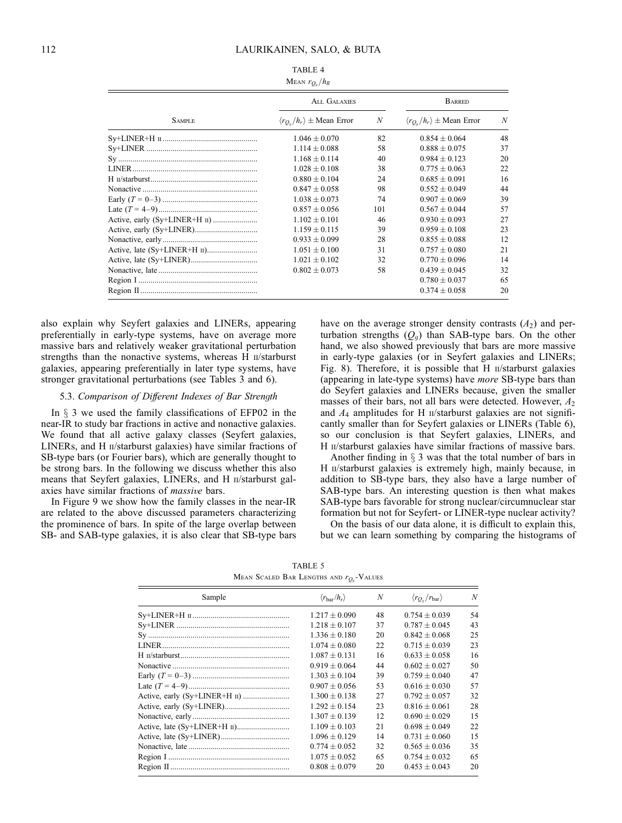$\equiv$ 

|                               | MEAN $r_{O_a}/h_R$                                  |               |                                              |    |
|-------------------------------|-----------------------------------------------------|---------------|----------------------------------------------|----|
|                               | <b>ALL GALAXIES</b>                                 | <b>BARRED</b> |                                              |    |
| <b>SAMPLE</b>                 | $\langle r_{O_n}/h_r \rangle \pm \text{Mean Error}$ | N             | $\langle r_{Q_a}/h_r \rangle \pm$ Mean Error | N  |
|                               | $1.046 \pm 0.070$                                   | 82            | $0.854 + 0.064$                              | 48 |
|                               | $1.114 \pm 0.088$                                   | 58            | $0.888 \pm 0.075$                            | 37 |
|                               | $1.168 + 0.114$                                     | 40            | $0.984 + 0.123$                              | 20 |
|                               | $1.028 \pm 0.108$                                   | 38            | $0.775 \pm 0.063$                            | 22 |
|                               | $0.880 + 0.104$                                     | 24            | $0.685 + 0.091$                              | 16 |
|                               | $0.847 \pm 0.058$                                   | 98            | $0.552 + 0.049$                              | 44 |
|                               | $1.038 \pm 0.073$                                   | 74            | $0.907 \pm 0.069$                            | 39 |
|                               | $0.857 \pm 0.056$                                   | 101           | $0.567 + 0.044$                              | 57 |
| Active, early (Sy+LINER+H II) | $1.102 \pm 0.101$                                   | 46            | $0.930 \pm 0.093$                            | 27 |
|                               | $1.159 \pm 0.115$                                   | 39            | $0.959 + 0.108$                              | 23 |
|                               | $0.933 \pm 0.099$                                   | 28            | $0.855 \pm 0.088$                            | 12 |
|                               | $1.051 \pm 0.100$                                   | 31            | $0.757 \pm 0.080$                            | 21 |
|                               | $1.021 \pm 0.102$                                   | 32            | $0.770 \pm 0.096$                            | 14 |
|                               | $0.802 \pm 0.073$                                   | 58            | $0.439 \pm 0.045$                            | 32 |
|                               |                                                     |               | $0.780 \pm 0.037$                            | 65 |
|                               |                                                     |               | $0.374 \pm 0.058$                            | 20 |
|                               |                                                     |               |                                              |    |

TABLE 4

also explain why Seyfert galaxies and LINERs, appearing preferentially in early-type systems, have on average more massive bars and relatively weaker gravitational perturbation strengths than the nonactive systems, whereas H  $\text{II/starburst}$ galaxies, appearing preferentially in later type systems, have stronger gravitational perturbations (see Tables 3 and 6).

# 5.3. Comparison of Different Indexes of Bar Strength

In  $\S$  3 we used the family classifications of EFP02 in the near-IR to study bar fractions in active and nonactive galaxies. We found that all active galaxy classes (Seyfert galaxies, LINERs, and H II/starburst galaxies) have similar fractions of SB-type bars (or Fourier bars), which are generally thought to be strong bars. In the following we discuss whether this also means that Seyfert galaxies, LINERs, and H  $\text{II/s}$ tarburst galaxies have similar fractions of massive bars.

In Figure 9 we show how the family classes in the near-IR are related to the above discussed parameters characterizing the prominence of bars. In spite of the large overlap between SB- and SAB-type galaxies, it is also clear that SB-type bars have on the average stronger density contrasts  $(A_2)$  and perturbation strengths  $(Q_g)$  than SAB-type bars. On the other hand, we also showed previously that bars are more massive in early-type galaxies (or in Seyfert galaxies and LINERs; Fig. 8). Therefore, it is possible that H  $\text{II/starburst}$  galaxies (appearing in late-type systems) have more SB-type bars than do Seyfert galaxies and LINERs because, given the smaller masses of their bars, not all bars were detected. However,  $A_2$ and  $A_4$  amplitudes for H  $\pi$  istarburst galaxies are not significantly smaller than for Seyfert galaxies or LINERs (Table 6), so our conclusion is that Seyfert galaxies, LINERs, and H II/starburst galaxies have similar fractions of massive bars.

Another finding in  $\S$  3 was that the total number of bars in H  $\pi$ /starburst galaxies is extremely high, mainly because, in addition to SB-type bars, they also have a large number of SAB-type bars. An interesting question is then what makes SAB-type bars favorable for strong nuclear/circumnuclear star formation but not for Seyfert- or LINER-type nuclear activity?

On the basis of our data alone, it is difficult to explain this, but we can learn something by comparing the histograms of

| Sample | $\langle r_{\rm bar}/h_r \rangle$ | N  | $\langle r_{Q_q}/r_{\rm bar} \rangle$ | N  |
|--------|-----------------------------------|----|---------------------------------------|----|
|        | $1.217 \pm 0.090$                 | 48 | $0.754 \pm 0.039$                     | 54 |
|        | $1.218 \pm 0.107$                 | 37 | $0.787 + 0.045$                       | 43 |
|        | $1.336 \pm 0.180$                 | 20 | $0.842 \pm 0.068$                     | 25 |
|        | $1.074 + 0.080$                   | 22 | $0.715 \pm 0.039$                     | 23 |
|        | $1.087 \pm 0.131$                 | 16 | $0.633 \pm 0.058$                     | 16 |
|        | $0.919 \pm 0.064$                 | 44 | $0.602 \pm 0.027$                     | 50 |
|        | $1.303 \pm 0.104$                 | 39 | $0.759 \pm 0.040$                     | 47 |
|        | $0.907 \pm 0.056$                 | 53 | $0.616 + 0.030$                       | 57 |
|        | $1.300 + 0.138$                   | 27 | $0.792 + 0.057$                       | 32 |
|        | $1.292 + 0.154$                   | 23 | $0.816 + 0.061$                       | 28 |
|        | $1.307 \pm 0.139$                 | 12 | $0.690 \pm 0.029$                     | 15 |
|        | $1.109 + 0.103$                   | 21 | $0.698 + 0.049$                       | 22 |
|        | $1.096 \pm 0.129$                 | 14 | $0.731 \pm 0.060$                     | 15 |
|        | $0.774 + 0.052$                   | 32 | $0.565 \pm 0.036$                     | 35 |
|        | $1.075 \pm 0.052$                 | 65 | $0.754 \pm 0.032$                     | 65 |
|        | $0.808 \pm 0.079$                 | 20 | $0.453 + 0.043$                       | 20 |
|        |                                   |    |                                       |    |

TABLE 5 MEAN SCALED BAR LENGTHS AND  $r_{Q_q}$ -Values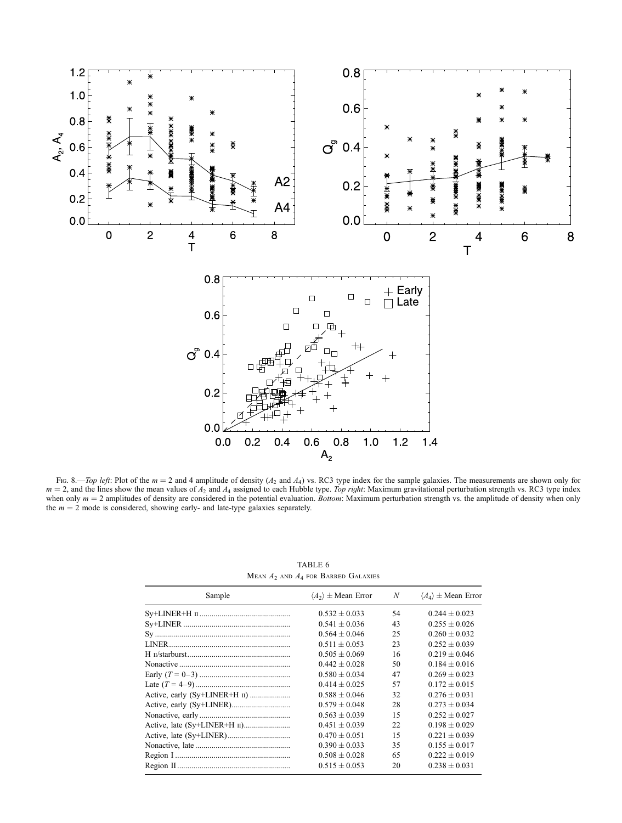

Fig. 8.—Top left: Plot of the  $m = 2$  and 4 amplitude of density (A<sub>2</sub> and A<sub>4</sub>) vs. RC3 type index for the sample galaxies. The measurements are shown only for  $m = 2$ , and the lines show the mean values of  $A_2$  and  $A_4$  assigned to each Hubble type. Top right: Maximum gravitational perturbation strength vs. RC3 type index when only  $m = 2$  amplitudes of density are considered in the potential evaluation. Bottom: Maximum perturbation strength vs. the amplitude of density when only the  $m = 2$  mode is considered, showing early- and late-type galaxies separately.

| NIEAN A? AND A4 FOR DARRED GALAXIES                                                                                                                                                                                                                           |                                    |    |                                    |  |  |  |
|---------------------------------------------------------------------------------------------------------------------------------------------------------------------------------------------------------------------------------------------------------------|------------------------------------|----|------------------------------------|--|--|--|
| Sample                                                                                                                                                                                                                                                        | $\langle A_2 \rangle$ ± Mean Error | N  | $\langle A_4 \rangle$ ± Mean Error |  |  |  |
|                                                                                                                                                                                                                                                               | $0.532 + 0.033$                    | 54 | $0.244 + 0.023$                    |  |  |  |
| $\text{Sy+LINER}\dots\hspace{-0.05cm}\dots\hspace{-0.05cm}\dots\hspace{-0.05cm}\dots\hspace{-0.05cm}\dots\hspace{-0.05cm}\dots\hspace{-0.05cm}\dots\hspace{-0.05cm}\dots\hspace{-0.05cm}\dots\hspace{-0.05cm}\dots\hspace{-0.05cm}\dots\hspace{-0.05cm}\dots$ | $0.541 + 0.036$                    | 43 | $0.255 + 0.026$                    |  |  |  |
|                                                                                                                                                                                                                                                               | $0.564 + 0.046$                    | 25 | $0.260 + 0.032$                    |  |  |  |
|                                                                                                                                                                                                                                                               | $0.511 + 0.053$                    | 23 | $0.252 + 0.039$                    |  |  |  |
|                                                                                                                                                                                                                                                               | $0.505 \pm 0.069$                  | 16 | $0.219 \pm 0.046$                  |  |  |  |
|                                                                                                                                                                                                                                                               | $0.442 + 0.028$                    | 50 | $0.184 + 0.016$                    |  |  |  |
|                                                                                                                                                                                                                                                               | $0.580 + 0.034$                    | 47 | $0.269 + 0.023$                    |  |  |  |
|                                                                                                                                                                                                                                                               | $0.414 + 0.025$                    | 57 | $0.172 + 0.015$                    |  |  |  |
|                                                                                                                                                                                                                                                               | $0.588 + 0.046$                    | 32 | $0.276 + 0.031$                    |  |  |  |
|                                                                                                                                                                                                                                                               | $0.579 \pm 0.048$                  | 28 | $0.273 + 0.034$                    |  |  |  |
|                                                                                                                                                                                                                                                               | $0.563 \pm 0.039$                  | 15 | $0.252 + 0.027$                    |  |  |  |
|                                                                                                                                                                                                                                                               | $0.451 \pm 0.039$                  | 22 | $0.198 + 0.029$                    |  |  |  |
|                                                                                                                                                                                                                                                               | $0.470 + 0.051$                    | 15 | $0.221 + 0.039$                    |  |  |  |
|                                                                                                                                                                                                                                                               | $0.390 + 0.033$                    | 35 | $0.155 + 0.017$                    |  |  |  |
|                                                                                                                                                                                                                                                               | $0.508 \pm 0.028$                  | 65 | $0.222 \pm 0.019$                  |  |  |  |
|                                                                                                                                                                                                                                                               | $0.515 \pm 0.053$                  | 20 | $0.238 \pm 0.031$                  |  |  |  |

TABLE 6  $M_{Edd}$   $A_{2}$  and  $A_{4}$  for Barred  $G_{44}$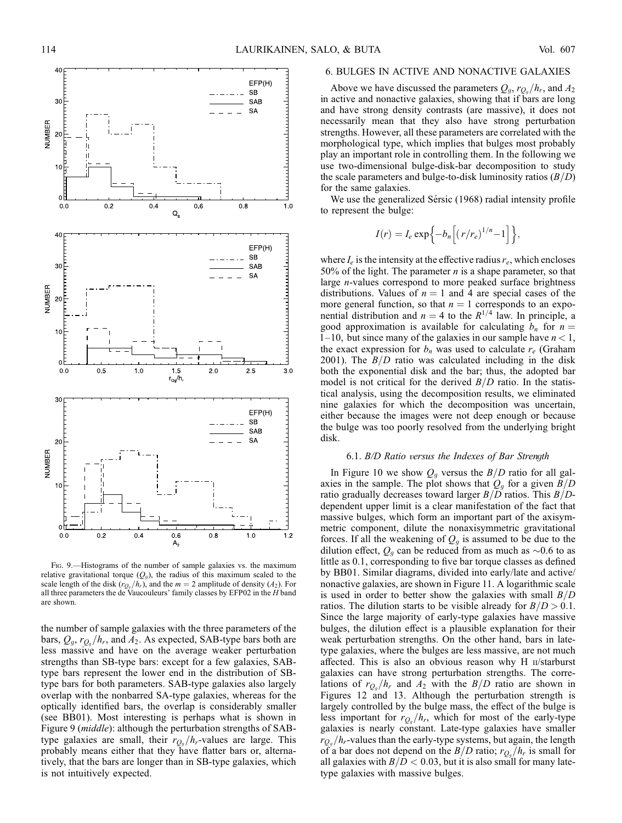

Fig. 9.—Histograms of the number of sample galaxies vs. the maximum relative gravitational torque  $(Q_g)$ , the radius of this maximum scaled to the scale length of the disk  $(r_{Q_q}/h_r)$ , and the  $m = 2$  amplitude of density  $(A_2)$ . For all three parameters the de Vaucouleurs' family classes by EFP02 in the  $H$  band are shown.

the number of sample galaxies with the three parameters of the bars,  $Q_g$ ,  $r_{Q_g}/h_r$ , and  $A_2$ . As expected, SAB-type bars both are less massive and have on the average weaker perturbation strengths than SB-type bars: except for a few galaxies, SABtype bars represent the lower end in the distribution of SBtype bars for both parameters. SAB-type galaxies also largely overlap with the nonbarred SA-type galaxies, whereas for the optically identified bars, the overlap is considerably smaller (see BB01). Most interesting is perhaps what is shown in Figure 9 (*middle*): although the perturbation strengths of SABtype galaxies are small, their  $r_{Q_q}/h_r$ -values are large. This probably means either that they have flatter bars or, alternatively, that the bars are longer than in SB-type galaxies, which is not intuitively expected.

# 6. BULGES IN ACTIVE AND NONACTIVE GALAXIES

Above we have discussed the parameters  $Q_g$ ,  $r_{Q_g}/h_r$ , and  $A_2$ in active and nonactive galaxies, showing that if bars are long and have strong density contrasts (are massive), it does not necessarily mean that they also have strong perturbation strengths. However, all these parameters are correlated with the morphological type, which implies that bulges most probably play an important role in controlling them. In the following we use two-dimensional bulge-disk-bar decomposition to study the scale parameters and bulge-to-disk luminosity ratios  $(B/D)$ for the same galaxies.

We use the generalized Sérsic (1968) radial intensity profile to represent the bulge:

$$
I(r) = I_e \exp\{-b_n\left[\left(\frac{r}{r_e}\right)^{1/n} - 1\right]\},\,
$$

where  $I_e$  is the intensity at the effective radius  $r_e$ , which encloses 50% of the light. The parameter *n* is a shape parameter, so that large n-values correspond to more peaked surface brightness distributions. Values of  $n = 1$  and 4 are special cases of the more general function, so that  $n = 1$  corresponds to an exponential distribution and  $n = 4$  to the  $R^{1/4}$  law. In principle, a good approximation is available for calculating  $b_n$  for  $n =$ 1–10, but since many of the galaxies in our sample have  $n < 1$ , the exact expression for  $b_n$  was used to calculate  $r_e$  (Graham 2001). The  $B/D$  ratio was calculated including in the disk both the exponential disk and the bar; thus, the adopted bar model is not critical for the derived  $B/D$  ratio. In the statistical analysis, using the decomposition results, we eliminated nine galaxies for which the decomposition was uncertain, either because the images were not deep enough or because the bulge was too poorly resolved from the underlying bright disk.

#### 6.1. B/D Ratio versus the Indexes of Bar Strength

In Figure 10 we show  $Q_g$  versus the  $B/D$  ratio for all galaxies in the sample. The plot shows that  $Q_q$  for a given  $B/D$ ratio gradually decreases toward larger  $B/D$  ratios. This  $B/D$ dependent upper limit is a clear manifestation of the fact that massive bulges, which form an important part of the axisymmetric component, dilute the nonaxisymmetric gravitational forces. If all the weakening of  $Q<sub>q</sub>$  is assumed to be due to the dilution effect,  $Q_q$  can be reduced from as much as  $\sim 0.6$  to as little as 0.1, corresponding to five bar torque classes as defined by BB01. Similar diagrams, divided into early/late and active/ nonactive galaxies, are shown in Figure 11. A logarithmic scale is used in order to better show the galaxies with small  $B/D$ ratios. The dilution starts to be visible already for  $B/D > 0.1$ . Since the large majority of early-type galaxies have massive bulges, the dilution effect is a plausible explanation for their weak perturbation strengths. On the other hand, bars in latetype galaxies, where the bulges are less massive, are not much affected. This is also an obvious reason why H  $\mu$ /starburst galaxies can have strong perturbation strengths. The correlations of  $r_{Q_q}/h_r$  and  $A_2$  with the  $B/D$  ratio are shown in Figures 12 and 13. Although the perturbation strength is largely controlled by the bulge mass, the effect of the bulge is less important for  $r_{Q_q}/h_r$ , which for most of the early-type galaxies is nearly constant. Late-type galaxies have smaller  $r_{Q_g}/h_r$ -values than the early-type systems, but again, the length of a bar does not depend on the  $B/D$  ratio;  $r_{Q_g}/h_r$  is small for all galaxies with  $B/D < 0.03$ , but it is also small for many latetype galaxies with massive bulges.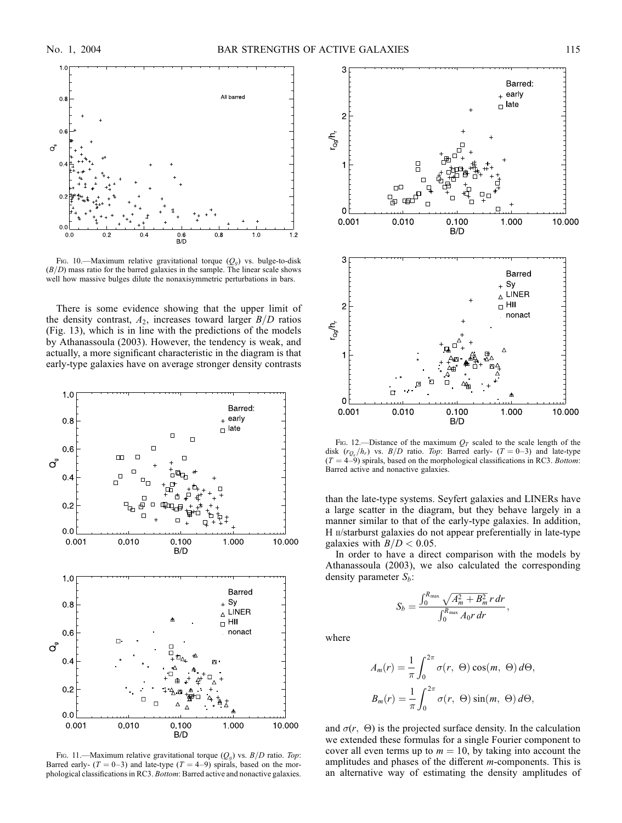

Fig. 10.—Maximum relative gravitational torque  $(Q_g)$  vs. bulge-to-disk  $(B/D)$  mass ratio for the barred galaxies in the sample. The linear scale shows well how massive bulges dilute the nonaxisymmetric perturbations in bars.

There is some evidence showing that the upper limit of the density contrast,  $A_2$ , increases toward larger  $B/D$  ratios (Fig. 13), which is in line with the predictions of the models by Athanassoula (2003). However, the tendency is weak, and actually, a more significant characteristic in the diagram is that early-type galaxies have on average stronger density contrasts



Fig. 11.—Maximum relative gravitational torque  $(Q_g)$  vs.  $B/D$  ratio. Top: Barred early-  $(T = 0-3)$  and late-type  $(T = 4-9)$  spirals, based on the morphological classifications in RC3. Bottom: Barred active and nonactive galaxies.



FIG. 12.—Distance of the maximum  $Q_T$  scaled to the scale length of the disk  $(r_{Q_q}/h_r)$  vs.  $B/D$  ratio. Top: Barred early-  $(T = 0-3)$  and late-type  $(T = 4-9)$  spirals, based on the morphological classifications in RC3. Bottom: Barred active and nonactive galaxies.

than the late-type systems. Seyfert galaxies and LINERs have a large scatter in the diagram, but they behave largely in a manner similar to that of the early-type galaxies. In addition, H  $\text{II}/\text{star}$ burst galaxies do not appear preferentially in late-type galaxies with  $B/D < 0.05$ .

In order to have a direct comparison with the models by Athanassoula (2003), we also calculated the corresponding density parameter  $S_b$ :

$$
S_b = \frac{\int_0^{R_{\max}} \sqrt{A_m^2 + B_m^2} r dr}{\int_0^{R_{\max}} A_0 r dr},
$$

where

$$
A_m(r) = \frac{1}{\pi} \int_0^{2\pi} \sigma(r, \Theta) \cos(m, \Theta) d\Theta,
$$
  

$$
B_m(r) = \frac{1}{\pi} \int_0^{2\pi} \sigma(r, \Theta) \sin(m, \Theta) d\Theta,
$$

and  $\sigma(r, \Theta)$  is the projected surface density. In the calculation we extended these formulas for a single Fourier component to cover all even terms up to  $m = 10$ , by taking into account the amplitudes and phases of the different m-components. This is an alternative way of estimating the density amplitudes of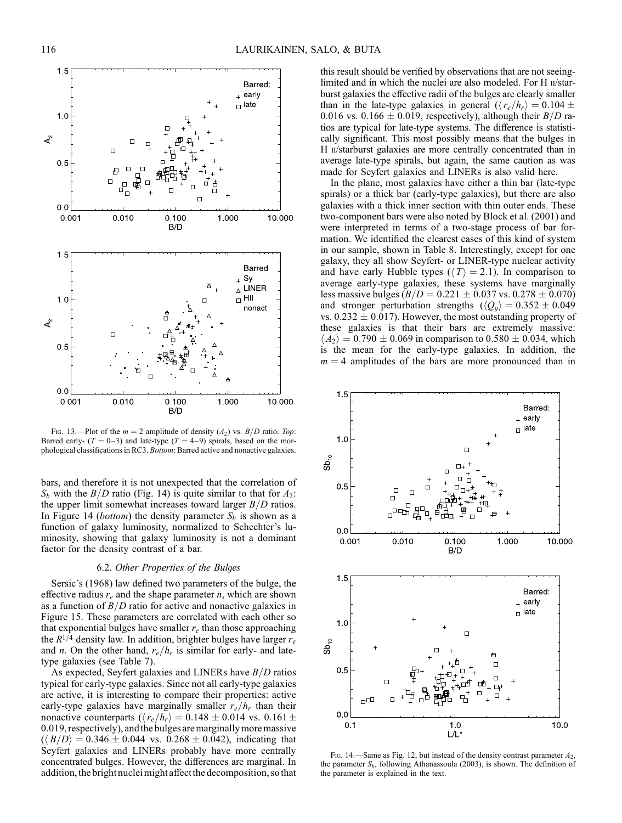

Fig. 13.—Plot of the  $m = 2$  amplitude of density  $(A_2)$  vs.  $B/D$  ratio. Top: Barred early-  $(T = 0-3)$  and late-type  $(T = 4-9)$  spirals, based on the morphological classifications in RC3. Bottom: Barred active and nonactive galaxies.

bars, and therefore it is not unexpected that the correlation of  $S_b$  with the  $B/D$  ratio (Fig. 14) is quite similar to that for  $A_2$ : the upper limit somewhat increases toward larger  $B/D$  ratios. In Figure 14 (*bottom*) the density parameter  $S_b$  is shown as a function of galaxy luminosity, normalized to Schechter's luminosity, showing that galaxy luminosity is not a dominant factor for the density contrast of a bar.

### 6.2. Other Properties of the Bulges

Sersic's (1968) law defined two parameters of the bulge, the effective radius  $r_e$  and the shape parameter n, which are shown as a function of  $B/D$  ratio for active and nonactive galaxies in Figure 15. These parameters are correlated with each other so that exponential bulges have smaller  $r_e$  than those approaching the  $R^{1/4}$  density law. In addition, brighter bulges have larger  $r_e$ and *n*. On the other hand,  $r_e/h_r$  is similar for early- and latetype galaxies (see Table 7).

As expected, Seyfert galaxies and LINERs have  $B/D$  ratios typical for early-type galaxies. Since not all early-type galaxies are active, it is interesting to compare their properties: active early-type galaxies have marginally smaller  $r_e/h_r$  than their nonactive counterparts ( $\langle r_e/h_r \rangle = 0.148 \pm 0.014$  vs. 0.161  $\pm$ 0:019, respectively), andthe bulges are marginallymore massive  $(\langle B/D \rangle = 0.346 \pm 0.044 \text{ vs. } 0.268 \pm 0.042)$ , indicating that Seyfert galaxies and LINERs probably have more centrally concentrated bulges. However, the differences are marginal. In addition, the bright nuclei might affect the decomposition, so that this result should be verified by observations that are not seeinglimited and in which the nuclei are also modeled. For H II/starburst galaxies the effective radii of the bulges are clearly smaller than in the late-type galaxies in general  $\langle \langle r_e/h_r \rangle = 0.104 \pm 10^{-10}$ 0.016 vs. 0.166  $\pm$  0.019, respectively), although their  $B/D$  ratios are typical for late-type systems. The difference is statistically significant. This most possibly means that the bulges in H  $\text{II}/\text{star}$  burst galaxies are more centrally concentrated than in average late-type spirals, but again, the same caution as was made for Seyfert galaxies and LINERs is also valid here.

In the plane, most galaxies have either a thin bar (late-type spirals) or a thick bar (early-type galaxies), but there are also galaxies with a thick inner section with thin outer ends. These two-component bars were also noted by Block et al. (2001) and were interpreted in terms of a two-stage process of bar formation. We identified the clearest cases of this kind of system in our sample, shown in Table 8. Interestingly, except for one galaxy, they all show Seyfert- or LINER-type nuclear activity and have early Hubble types ( $\langle T \rangle = 2.1$ ). In comparison to average early-type galaxies, these systems have marginally less massive bulges ( $B/D = 0.221 \pm 0.037$  vs.  $0.278 \pm 0.070$ ) and stronger perturbation strengths ( $\langle Q_q \rangle = 0.352 \pm 0.049$ vs.  $0.232 \pm 0.017$ ). However, the most outstanding property of these galaxies is that their bars are extremely massive:  $\langle A_2 \rangle = 0.790 \pm 0.069$  in comparison to 0.580  $\pm$  0.034, which is the mean for the early-type galaxies. In addition, the  $m = 4$  amplitudes of the bars are more pronounced than in



Fig. 14.—Same as Fig. 12, but instead of the density contrast parameter  $A_2$ , the parameter  $S_b$ , following Athanassoula (2003), is shown. The definition of the parameter is explained in the text.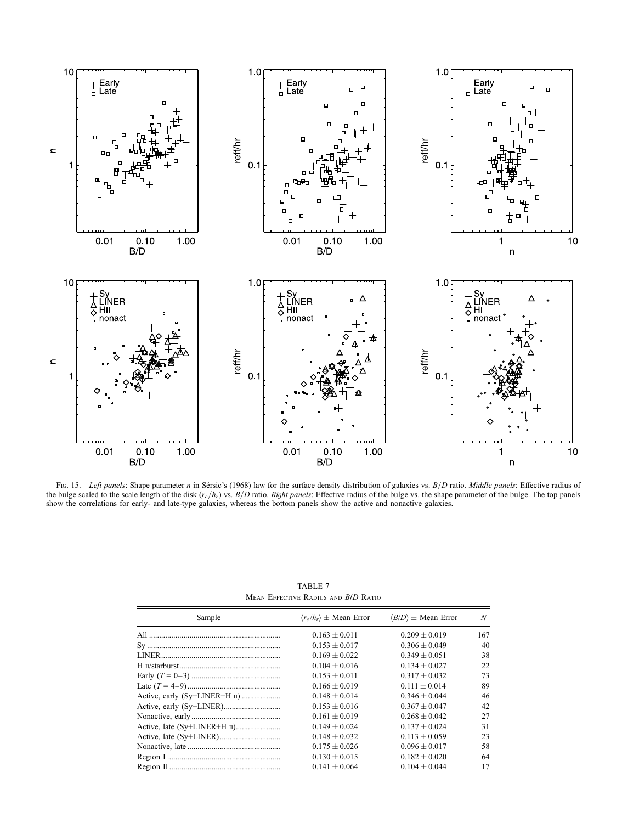

Fig. 15.—Left panels: Shape parameter n in Sérsic's (1968) law for the surface density distribution of galaxies vs. B/D ratio. Middle panels: Effective radius of the bulge scaled to the scale length of the disk  $(r_e/h_r)$  vs.  $B/D$  ratio. Right panels: Effective radius of the bulge vs. the shape parameter of the bulge. The top panels show the correlations for early- and late-type galaxies, whereas the bottom panels show the active and nonactive galaxies.

| Sample | $\langle r_e/h_r \rangle \pm$ Mean Error | $\langle B/D \rangle \pm$ Mean Error | N   |
|--------|------------------------------------------|--------------------------------------|-----|
|        | $0.163 \pm 0.011$                        | $0.209 \pm 0.019$                    | 167 |
|        | $0.153 \pm 0.017$                        | $0.306 + 0.049$                      | 40  |
|        | $0.169 \pm 0.022$                        | $0.349 + 0.051$                      | 38  |
|        | $0.104 + 0.016$                          | $0.134 + 0.027$                      | 22  |
|        | $0.153 \pm 0.011$                        | $0.317 + 0.032$                      | 73  |
|        | $0.166 + 0.019$                          | $0.111 + 0.014$                      | 89  |
|        | $0.148 \pm 0.014$                        | $0.346 + 0.044$                      | 46  |
|        | $0.153 \pm 0.016$                        | $0.367 + 0.047$                      | 42  |
|        | $0.161 + 0.019$                          | $0.268 + 0.042$                      | 27  |
|        | $0.149 \pm 0.024$                        | $0.137 + 0.024$                      | 31  |
|        | $0.148 \pm 0.032$                        | $0.113 \pm 0.059$                    | 23  |
|        | $0.175 \pm 0.026$                        | $0.096 + 0.017$                      | 58  |
|        | $0.130 + 0.015$                          | $0.182 + 0.020$                      | 64  |
|        | $0.141 \pm 0.064$                        | $0.104 \pm 0.044$                    | 17  |

TABLE 7 Mean Effective Radius and B/D Ratio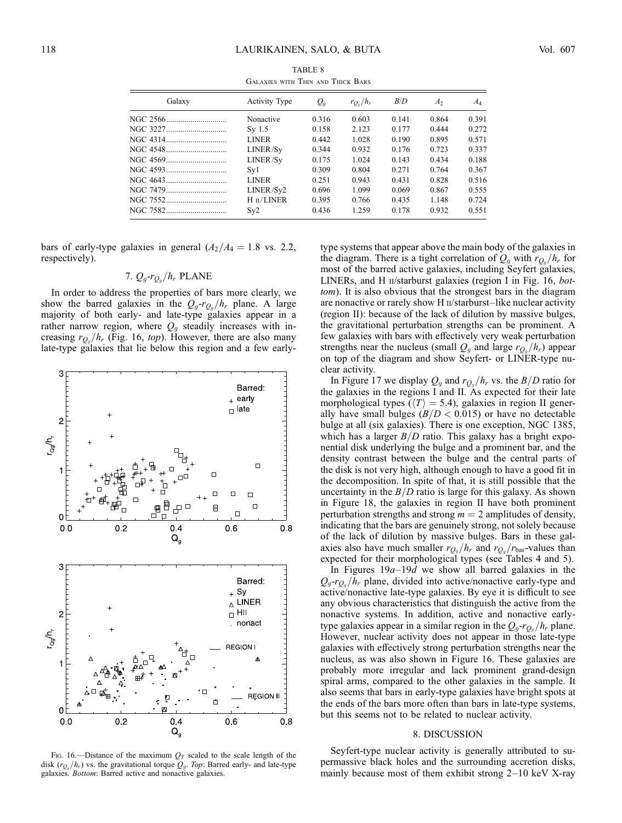| Galaxy | Activity Type          | $\mathcal{Q}_q$ | $r_{O_a}/h_r$ | B/D   | A <sub>2</sub> | $A_4$ |
|--------|------------------------|-----------------|---------------|-------|----------------|-------|
|        | Nonactive              | 0.316           | 0.603         | 0.141 | 0.864          | 0.391 |
|        | $Sv$ 1.5               | 0.158           | 2.123         | 0.177 | 0.444          | 0.272 |
|        | <b>LINER</b>           | 0.442           | 1.028         | 0.190 | 0.895          | 0.571 |
|        | LINER/Sy               | 0.344           | 0.932         | 0.176 | 0.723          | 0.337 |
|        | LINER/Sy               | 0.175           | 1.024         | 0.143 | 0.434          | 0.188 |
|        | Sy1                    | 0.309           | 0.804         | 0.271 | 0.764          | 0.367 |
|        | <b>LINER</b>           | 0.251           | 0.943         | 0.431 | 0.828          | 0.516 |
|        | LINER/Sy2              | 0.696           | 1.099         | 0.069 | 0.867          | 0.555 |
|        | H <sub>II</sub> /LINER | 0.395           | 0.766         | 0.435 | 1.148          | 0.724 |
|        | Sv2                    | 0.436           | 1.259         | 0.178 | 0.932          | 0.551 |

TABLE 8 Galaxies with Thin and Thick Bars

bars of early-type galaxies in general  $(A_2/A_4 = 1.8 \text{ vs. } 2.2,$ respectively).

# 7.  $Q_q$ - $r_{Q_q}/h_r$  PLANE

In order to address the properties of bars more clearly, we show the barred galaxies in the  $Q_g - r_{Q_g}/h_r$  plane. A large majority of both early- and late-type galaxies appear in a rather narrow region, where  $Q<sub>q</sub>$  steadily increases with increasing  $r_{Q_q}/h_r$  (Fig. 16, top). However, there are also many late-type galaxies that lie below this region and a few early-



Fig. 16.—Distance of the maximum  $Q_T$  scaled to the scale length of the disk ( $r_{Q_a}/h_r$ ) vs. the gravitational torque  $Q_a$ . Top: Barred early- and late-type galaxies. Bottom: Barred active and nonactive galaxies.

type systems that appear above the main body of the galaxies in the diagram. There is a tight correlation of  $Q_g$  with  $r_{Q_g}/h_r$  for most of the barred active galaxies, including Seyfert galaxies, LINERs, and H II/starburst galaxies (region I in Fig. 16, bottom). It is also obvious that the strongest bars in the diagram are nonactive or rarely show H  $\mu$ /starburst–like nuclear activity (region II): because of the lack of dilution by massive bulges, the gravitational perturbation strengths can be prominent. A few galaxies with bars with effectively very weak perturbation strengths near the nucleus (small  $Q_g$  and large  $r_{Q_g}/h_r$ ) appear on top of the diagram and show Seyfert- or LINER-type nuclear activity.

In Figure 17 we display  $Q_g$  and  $r_{Q_g}/h_r$  vs. the  $B/D$  ratio for the galaxies in the regions I and II. As expected for their late morphological types ( $\langle T \rangle$  = 5.4), galaxies in region II generally have small bulges  $(B/D < 0.015)$  or have no detectable bulge at all (six galaxies). There is one exception, NGC 1385, which has a larger  $B/D$  ratio. This galaxy has a bright exponential disk underlying the bulge and a prominent bar, and the density contrast between the bulge and the central parts of the disk is not very high, although enough to have a good fit in the decomposition. In spite of that, it is still possible that the uncertainty in the  $B/D$  ratio is large for this galaxy. As shown in Figure 18, the galaxies in region II have both prominent perturbation strengths and strong  $m = 2$  amplitudes of density, indicating that the bars are genuinely strong, not solely because of the lack of dilution by massive bulges. Bars in these galaxies also have much smaller  $r_{Q_g}/h_r$  and  $r_{Q_g}/r_{bar}$ -values than expected for their morphological types (see Tables 4 and 5).

In Figures  $19a-19d$  we show all barred galaxies in the  $Q_q$ - $r_{Q_q}/h_r$  plane, divided into active/nonactive early-type and active/nonactive late-type galaxies. By eye it is difficult to see any obvious characteristics that distinguish the active from the nonactive systems. In addition, active and nonactive earlytype galaxies appear in a similar region in the  $Q_q$ - $r_{Q_q}/h_r$  plane. However, nuclear activity does not appear in those late-type galaxies with effectively strong perturbation strengths near the nucleus, as was also shown in Figure 16. These galaxies are probably more irregular and lack prominent grand-design spiral arms, compared to the other galaxies in the sample. It also seems that bars in early-type galaxies have bright spots at the ends of the bars more often than bars in late-type systems, but this seems not to be related to nuclear activity.

#### 8. DISCUSSION

Seyfert-type nuclear activity is generally attributed to supermassive black holes and the surrounding accretion disks, mainly because most of them exhibit strong 2–10 keV X-ray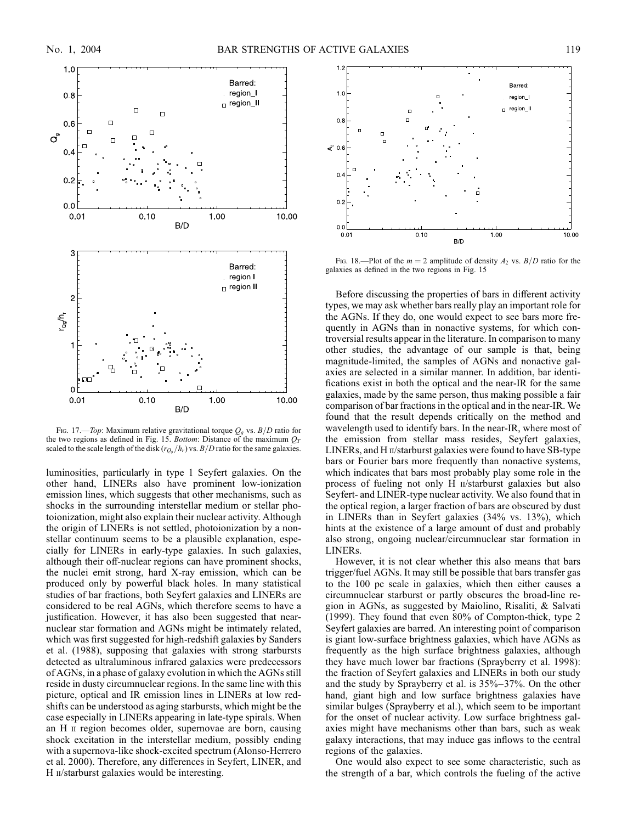

Fig. 17.—*Top*: Maximum relative gravitational torque  $Q_q$  vs.  $B/D$  ratio for the two regions as defined in Fig. 15. Bottom: Distance of the maximum  $Q_T$ scaled to the scale length of the disk ( $r_{Q_q}/h_r$ ) vs.  $B/D$  ratio for the same galaxies.

luminosities, particularly in type 1 Seyfert galaxies. On the other hand, LINERs also have prominent low-ionization emission lines, which suggests that other mechanisms, such as shocks in the surrounding interstellar medium or stellar photoionization, might also explain their nuclear activity. Although the origin of LINERs is not settled, photoionization by a nonstellar continuum seems to be a plausible explanation, especially for LINERs in early-type galaxies. In such galaxies, although their off-nuclear regions can have prominent shocks, the nuclei emit strong, hard X-ray emission, which can be produced only by powerful black holes. In many statistical studies of bar fractions, both Seyfert galaxies and LINERs are considered to be real AGNs, which therefore seems to have a justification. However, it has also been suggested that nearnuclear star formation and AGNs might be intimately related, which was first suggested for high-redshift galaxies by Sanders et al. (1988), supposing that galaxies with strong starbursts detected as ultraluminous infrared galaxies were predecessors of AGNs, in a phase of galaxy evolution in which the AGNs still reside in dusty circumnuclear regions. In the same line with this picture, optical and IR emission lines in LINERs at low redshifts can be understood as aging starbursts, which might be the case especially in LINERs appearing in late-type spirals. When an H ii region becomes older, supernovae are born, causing shock excitation in the interstellar medium, possibly ending with a supernova-like shock-excited spectrum (Alonso-Herrero et al. 2000). Therefore, any differences in Seyfert, LINER, and H  $\mu$ /starburst galaxies would be interesting.



Fig. 18.—Plot of the  $m = 2$  amplitude of density  $A_2$  vs.  $B/D$  ratio for the galaxies as defined in the two regions in Fig. 15

Before discussing the properties of bars in different activity types, we may ask whether bars really play an important role for the AGNs. If they do, one would expect to see bars more frequently in AGNs than in nonactive systems, for which controversial results appear in the literature. In comparison to many other studies, the advantage of our sample is that, being magnitude-limited, the samples of AGNs and nonactive galaxies are selected in a similar manner. In addition, bar identifications exist in both the optical and the near-IR for the same galaxies, made by the same person, thus making possible a fair comparison of bar fractions in the optical and in the near-IR. We found that the result depends critically on the method and wavelength used to identify bars. In the near-IR, where most of the emission from stellar mass resides, Seyfert galaxies, LINERs, and H II/starburst galaxies were found to have SB-type bars or Fourier bars more frequently than nonactive systems, which indicates that bars most probably play some role in the process of fueling not only H u/starburst galaxies but also Seyfert- and LINER-type nuclear activity. We also found that in the optical region, a larger fraction of bars are obscured by dust in LINERs than in Seyfert galaxies (34% vs. 13%), which hints at the existence of a large amount of dust and probably also strong, ongoing nuclear/circumnuclear star formation in LINERs.

However, it is not clear whether this also means that bars trigger/fuel AGNs. It may still be possible that bars transfer gas to the 100 pc scale in galaxies, which then either causes a circumnuclear starburst or partly obscures the broad-line region in AGNs, as suggested by Maiolino, Risaliti, & Salvati (1999). They found that even 80% of Compton-thick, type 2 Seyfert galaxies are barred. An interesting point of comparison is giant low-surface brightness galaxies, which have AGNs as frequently as the high surface brightness galaxies, although they have much lower bar fractions (Sprayberry et al. 1998): the fraction of Seyfert galaxies and LINERs in both our study and the study by Sprayberry et al. is 35%–37%. On the other hand, giant high and low surface brightness galaxies have similar bulges (Sprayberry et al.), which seem to be important for the onset of nuclear activity. Low surface brightness galaxies might have mechanisms other than bars, such as weak galaxy interactions, that may induce gas inflows to the central regions of the galaxies.

One would also expect to see some characteristic, such as the strength of a bar, which controls the fueling of the active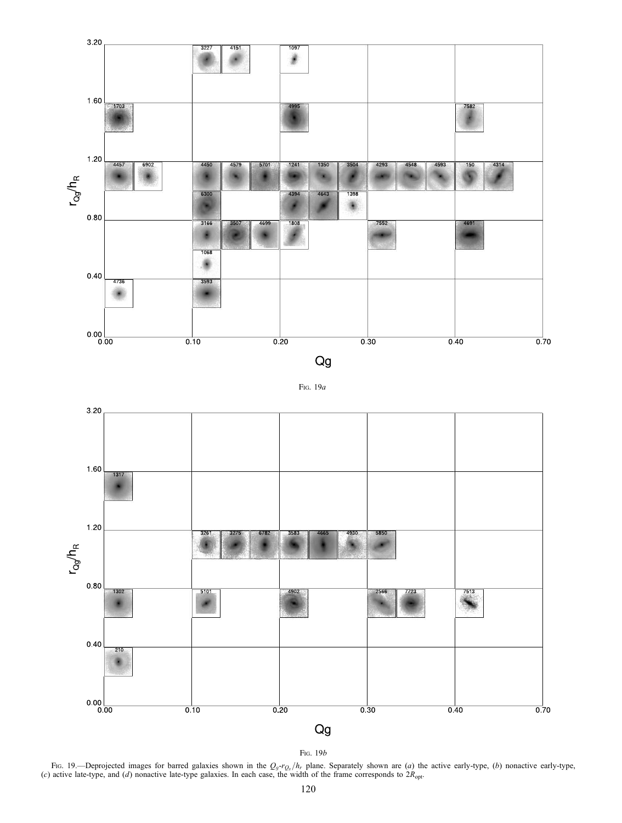

Fig. 19a



Fig. 19b

Fig. 19.—Deprojected images for barred galaxies shown in the  $Q_g-r_{Q_g}/h_r$  plane. Separately shown are (*a*) the active early-type, (*b*) nonactive early-type, (c) active late-type, and (d) nonactive late-type galaxies. In each case, the width of the frame corresponds to  $2R_{\text{opt}}$ .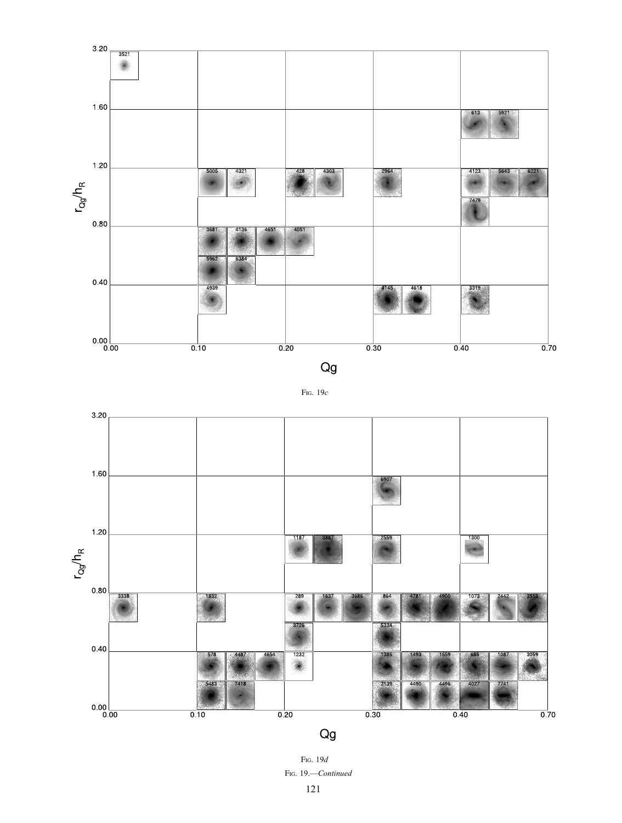





Fig. 19.—Continued Fig. 19d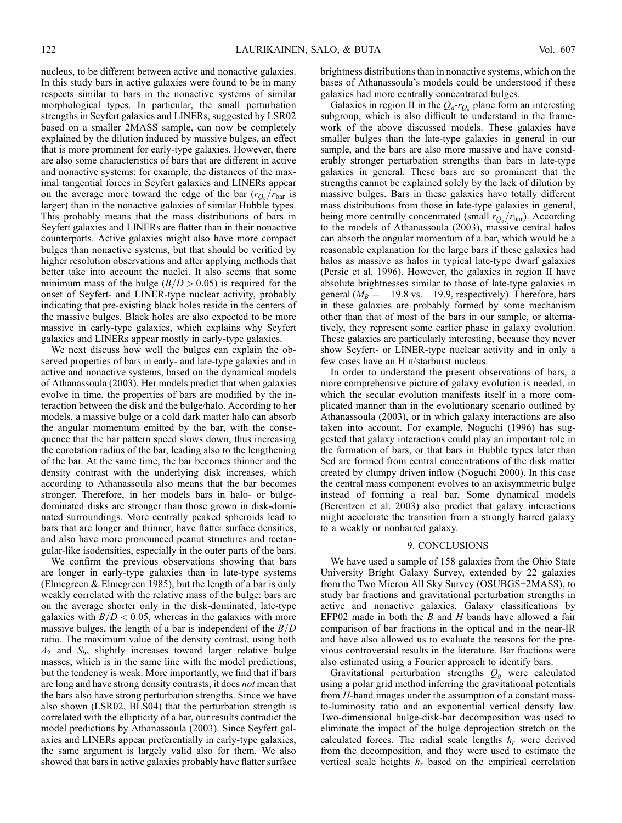nucleus, to be different between active and nonactive galaxies. In this study bars in active galaxies were found to be in many respects similar to bars in the nonactive systems of similar morphological types. In particular, the small perturbation strengths in Seyfert galaxies and LINERs, suggested by LSR02 based on a smaller 2MASS sample, can now be completely explained by the dilution induced by massive bulges, an effect that is more prominent for early-type galaxies. However, there are also some characteristics of bars that are different in active and nonactive systems: for example, the distances of the maximal tangential forces in Seyfert galaxies and LINERs appear on the average more toward the edge of the bar  $(r_{Q_q}/r_{bar}$  is larger) than in the nonactive galaxies of similar Hubble types. This probably means that the mass distributions of bars in Seyfert galaxies and LINERs are flatter than in their nonactive counterparts. Active galaxies might also have more compact bulges than nonactive systems, but that should be verified by higher resolution observations and after applying methods that better take into account the nuclei. It also seems that some minimum mass of the bulge  $(B/D > 0.05)$  is required for the onset of Seyfert- and LINER-type nuclear activity, probably indicating that pre-existing black holes reside in the centers of the massive bulges. Black holes are also expected to be more massive in early-type galaxies, which explains why Seyfert galaxies and LINERs appear mostly in early-type galaxies.

We next discuss how well the bulges can explain the observed properties of bars in early- and late-type galaxies and in active and nonactive systems, based on the dynamical models of Athanassoula (2003). Her models predict that when galaxies evolve in time, the properties of bars are modified by the interaction between the disk and the bulge/halo. According to her models, a massive bulge or a cold dark matter halo can absorb the angular momentum emitted by the bar, with the consequence that the bar pattern speed slows down, thus increasing the corotation radius of the bar, leading also to the lengthening of the bar. At the same time, the bar becomes thinner and the density contrast with the underlying disk increases, which according to Athanassoula also means that the bar becomes stronger. Therefore, in her models bars in halo- or bulgedominated disks are stronger than those grown in disk-dominated surroundings. More centrally peaked spheroids lead to bars that are longer and thinner, have flatter surface densities, and also have more pronounced peanut structures and rectangular-like isodensities, especially in the outer parts of the bars.

We confirm the previous observations showing that bars are longer in early-type galaxies than in late-type systems (Elmegreen & Elmegreen 1985), but the length of a bar is only weakly correlated with the relative mass of the bulge: bars are on the average shorter only in the disk-dominated, late-type galaxies with  $B/D < 0.05$ , whereas in the galaxies with more massive bulges, the length of a bar is independent of the  $B/D$ ratio. The maximum value of the density contrast, using both  $A_2$  and  $S_b$ , slightly increases toward larger relative bulge masses, which is in the same line with the model predictions, but the tendency is weak. More importantly, we find that if bars are long and have strong density contrasts, it does not mean that the bars also have strong perturbation strengths. Since we have also shown (LSR02, BLS04) that the perturbation strength is correlated with the ellipticity of a bar, our results contradict the model predictions by Athanassoula (2003). Since Seyfert galaxies and LINERs appear preferentially in early-type galaxies, the same argument is largely valid also for them. We also showed that bars in active galaxies probably have flatter surface

brightness distributions than in nonactive systems, which on the bases of Athanassoula's models could be understood if these galaxies had more centrally concentrated bulges.

Galaxies in region II in the  $Q_q$ - $r_{Q_q}$  plane form an interesting subgroup, which is also difficult to understand in the framework of the above discussed models. These galaxies have smaller bulges than the late-type galaxies in general in our sample, and the bars are also more massive and have considerably stronger perturbation strengths than bars in late-type galaxies in general. These bars are so prominent that the strengths cannot be explained solely by the lack of dilution by massive bulges. Bars in these galaxies have totally different mass distributions from those in late-type galaxies in general, being more centrally concentrated (small  $r_{O_q}/r_{bar}$ ). According to the models of Athanassoula (2003), massive central halos can absorb the angular momentum of a bar, which would be a reasonable explanation for the large bars if these galaxies had halos as massive as halos in typical late-type dwarf galaxies (Persic et al. 1996). However, the galaxies in region II have absolute brightnesses similar to those of late-type galaxies in general ( $M_B = -19.8$  vs.  $-19.9$ , respectively). Therefore, bars in these galaxies are probably formed by some mechanism other than that of most of the bars in our sample, or alternatively, they represent some earlier phase in galaxy evolution. These galaxies are particularly interesting, because they never show Seyfert- or LINER-type nuclear activity and in only a few cases have an H  $\mu$ /starburst nucleus.

In order to understand the present observations of bars, a more comprehensive picture of galaxy evolution is needed, in which the secular evolution manifests itself in a more complicated manner than in the evolutionary scenario outlined by Athanassoula (2003), or in which galaxy interactions are also taken into account. For example, Noguchi (1996) has suggested that galaxy interactions could play an important role in the formation of bars, or that bars in Hubble types later than Scd are formed from central concentrations of the disk matter created by clumpy driven inflow (Noguchi 2000). In this case the central mass component evolves to an axisymmetric bulge instead of forming a real bar. Some dynamical models (Berentzen et al. 2003) also predict that galaxy interactions might accelerate the transition from a strongly barred galaxy to a weakly or nonbarred galaxy.

#### 9. CONCLUSIONS

We have used a sample of 158 galaxies from the Ohio State University Bright Galaxy Survey, extended by 22 galaxies from the Two Micron All Sky Survey (OSUBGS+2MASS), to study bar fractions and gravitational perturbation strengths in active and nonactive galaxies. Galaxy classifications by EFP02 made in both the  $B$  and  $H$  bands have allowed a fair comparison of bar fractions in the optical and in the near-IR and have also allowed us to evaluate the reasons for the previous controversial results in the literature. Bar fractions were also estimated using a Fourier approach to identify bars.

Gravitational perturbation strengths  $Q_g$  were calculated using a polar grid method inferring the gravitational potentials from H-band images under the assumption of a constant massto-luminosity ratio and an exponential vertical density law. Two-dimensional bulge-disk-bar decomposition was used to eliminate the impact of the bulge deprojection stretch on the calculated forces. The radial scale lengths  $h_r$  were derived from the decomposition, and they were used to estimate the vertical scale heights  $h<sub>z</sub>$  based on the empirical correlation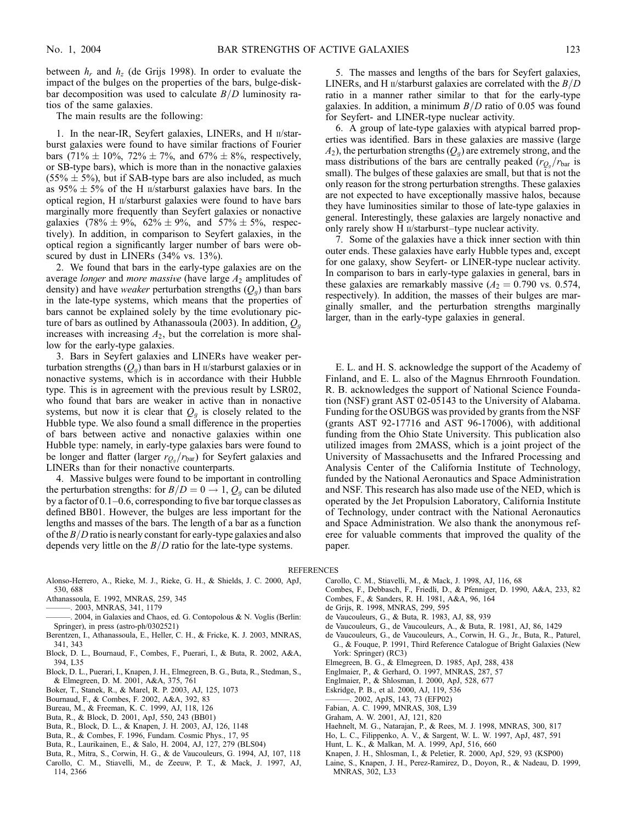between  $h_r$  and  $h_z$  (de Grijs 1998). In order to evaluate the impact of the bulges on the properties of the bars, bulge-diskbar decomposition was used to calculate  $B/D$  luminosity ratios of the same galaxies.

The main results are the following:

1. In the near-IR, Seyfert galaxies, LINERs, and H ii/starburst galaxies were found to have similar fractions of Fourier bars (71%  $\pm$  10%, 72%  $\pm$  7%, and 67%  $\pm$  8%, respectively, or SB-type bars), which is more than in the nonactive galaxies  $(55\% \pm 5\%)$ , but if SAB-type bars are also included, as much as  $95\% \pm 5\%$  of the H  $\pi$  istarburst galaxies have bars. In the optical region, H ii/starburst galaxies were found to have bars marginally more frequently than Seyfert galaxies or nonactive galaxies  $(78\% \pm 9\%, 62\% \pm 9\%, \text{ and } 57\% \pm 5\%, \text{ respectively.}$ tively). In addition, in comparison to Seyfert galaxies, in the optical region a significantly larger number of bars were obscured by dust in LINERs (34% vs. 13%).

2. We found that bars in the early-type galaxies are on the average *longer* and *more massive* (have large  $A_2$  amplitudes of density) and have *weaker* perturbation strengths  $(Q_q)$  than bars in the late-type systems, which means that the properties of bars cannot be explained solely by the time evolutionary picture of bars as outlined by Athanassoula (2003). In addition,  $Q<sub>q</sub>$ increases with increasing  $A_2$ , but the correlation is more shallow for the early-type galaxies.

3. Bars in Seyfert galaxies and LINERs have weaker perturbation strengths  $(Q_g)$  than bars in H  $\mu$ /starburst galaxies or in nonactive systems, which is in accordance with their Hubble type. This is in agreement with the previous result by LSR02, who found that bars are weaker in active than in nonactive systems, but now it is clear that  $Q_g$  is closely related to the Hubble type. We also found a small difference in the properties of bars between active and nonactive galaxies within one Hubble type: namely, in early-type galaxies bars were found to be longer and flatter (larger  $r_{O<sub>g</sub>}/r_{bar}$ ) for Seyfert galaxies and LINERs than for their nonactive counterparts.

4. Massive bulges were found to be important in controlling the perturbation strengths: for  $B/D=0 \rightarrow 1, Q_a$  can be diluted by a factor of 0.1–0.6, corresponding to five bar torque classes as defined BB01. However, the bulges are less important for the lengths and masses of the bars. The length of a bar as a function of the  $B/D$  ratio is nearly constant for early-type galaxies and also depends very little on the  $B/D$  ratio for the late-type systems.

- Alonso-Herrero, A., Rieke, M. J., Rieke, G. H., & Shields, J. C. 2000, ApJ, 530, 688
- Athanassoula, E. 1992, MNRAS, 259, 345
- ———. 2003, MNRAS, 341, 1179
- -. 2004, in Galaxies and Chaos, ed. G. Contopolous & N. Voglis (Berlin: Springer), in press (astro-ph/0302521)
- Berentzen, I., Athanassoula, E., Heller, C. H., & Fricke, K. J. 2003, MNRAS, 341, 343
- Block, D. L., Bournaud, F., Combes, F., Puerari, I., & Buta, R. 2002, A&A, 394, L35
- Block, D. L., Puerari, I., Knapen, J. H., Elmegreen, B. G., Buta, R., Stedman, S., & Elmegreen, D. M. 2001, A&A, 375, 761
- Boker, T., Stanek, R., & Marel, R. P. 2003, AJ, 125, 1073
- Bournaud, F., & Combes, F. 2002, A&A, 392, 83
- Bureau, M., & Freeman, K. C. 1999, AJ, 118, 126
- Buta, R., & Block, D. 2001, ApJ, 550, 243 (BB01)
- Buta, R., Block, D. L., & Knapen, J. H. 2003, AJ, 126, 1148
- Buta, R., & Combes, F. 1996, Fundam. Cosmic Phys., 17, 95
- Buta, R., Laurikainen, E., & Salo, H. 2004, AJ, 127, 279 (BLS04)
- Buta, R., Mitra, S., Corwin, H. G., & de Vaucouleurs, G. 1994, AJ, 107, 118
- Carollo, C. M., Stiavelli, M., de Zeeuw, P. T., & Mack, J. 1997, AJ, 114, 2366

5. The masses and lengths of the bars for Seyfert galaxies, LINERs, and H  $\mu$ /starburst galaxies are correlated with the  $B/D$ ratio in a manner rather similar to that for the early-type galaxies. In addition, a minimum  $B/D$  ratio of 0.05 was found for Seyfert- and LINER-type nuclear activity.

6. A group of late-type galaxies with atypical barred properties was identified. Bars in these galaxies are massive (large  $A_2$ ), the perturbation strengths ( $Q_q$ ) are extremely strong, and the mass distributions of the bars are centrally peaked  $(r_{O_g}/r_{bar}$  is small). The bulges of these galaxies are small, but that is not the only reason for the strong perturbation strengths. These galaxies are not expected to have exceptionally massive halos, because they have luminosities similar to those of late-type galaxies in general. Interestingly, these galaxies are largely nonactive and only rarely show H  $\mu$ /starburst–type nuclear activity.

7. Some of the galaxies have a thick inner section with thin outer ends. These galaxies have early Hubble types and, except for one galaxy, show Seyfert- or LINER-type nuclear activity. In comparison to bars in early-type galaxies in general, bars in these galaxies are remarkably massive  $(A_2 = 0.790 \text{ vs. } 0.574,$ respectively). In addition, the masses of their bulges are marginally smaller, and the perturbation strengths marginally larger, than in the early-type galaxies in general.

E. L. and H. S. acknowledge the support of the Academy of Finland, and E. L. also of the Magnus Ehrnrooth Foundation. R. B. acknowledges the support of National Science Foundation (NSF) grant AST 02-05143 to the University of Alabama. Funding for the OSUBGS was provided by grants from the NSF (grants AST 92-17716 and AST 96-17006), with additional funding from the Ohio State University. This publication also utilized images from 2MASS, which is a joint project of the University of Massachusetts and the Infrared Processing and Analysis Center of the California Institute of Technology, funded by the National Aeronautics and Space Administration and NSF. This research has also made use of the NED, which is operated by the Jet Propulsion Laboratory, California Institute of Technology, under contract with the National Aeronautics and Space Administration. We also thank the anonymous referee for valuable comments that improved the quality of the paper.

#### REFERENCES

- Carollo, C. M., Stiavelli, M., & Mack, J. 1998, AJ, 116, 68
- Combes, F., Debbasch, F., Friedli, D., & Pfenniger, D. 1990, A&A, 233, 82
- Combes, F., & Sanders, R. H. 1981, A&A, 96, 164
- de Grijs, R. 1998, MNRAS, 299, 595
- de Vaucouleurs, G., & Buta, R. 1983, AJ, 88, 939
- de Vaucouleurs, G., de Vaucouleurs, A., & Buta, R. 1981, AJ, 86, 1429
- de Vaucouleurs, G., de Vaucouleurs, A., Corwin, H. G., Jr., Buta, R., Paturel, G., & Fouque, P. 1991, Third Reference Catalogue of Bright Galaxies (New
- York: Springer) (RC3)
- Elmegreen, B. G., & Elmegreen, D. 1985, ApJ, 288, 438
- Englmaier, P., & Gerhard, O. 1997, MNRAS, 287, 57
- Englmaier, P., & Shlosman, I. 2000, ApJ, 528, 677
- Eskridge, P. B., et al. 2000, AJ, 119, 536
- ———. 2002, ApJS, 143, 73 (EFP02)
- Fabian, A. C. 1999, MNRAS, 308, L39
- Graham, A. W. 2001, AJ, 121, 820
- Haehnelt, M. G., Natarajan, P., & Rees, M. J. 1998, MNRAS, 300, 817
- Ho, L. C., Filippenko, A. V., & Sargent, W. L. W. 1997, ApJ, 487, 591
- Hunt, L. K., & Malkan, M. A. 1999, ApJ, 516, 660
- Knapen, J. H., Shlosman, I., & Peletier, R. 2000, ApJ, 529, 93 (KSP00)
- Laine, S., Knapen, J. H., Perez-Ramirez, D., Doyon, R., & Nadeau, D. 1999, MNRAS, 302, L33